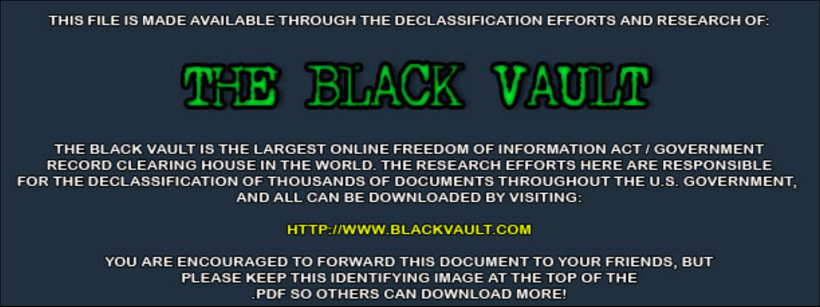THIS FILE IS MADE AVAILABLE THROUGH THE DECLASSIFICATION EFFORTS AND RESEARCH OF:



THE BLACK VAULT IS THE LARGEST ONLINE FREEDOM OF INFORMATION ACT / GOVERNMENT RECORD CLEARING HOUSE IN THE WORLD. THE RESEARCH EFFORTS HERE ARE RESPONSIBLE FOR THE DECLASSIFICATION OF THOUSANDS OF DOCUMENTS THROUGHOUT THE U.S. GOVERNMENT, AND ALL CAN BE DOWNLOADED BY VISITING:

**HTTP://WWW.BLACKVAULT.COM** 

YOU ARE ENCOURAGED TO FORWARD THIS DOCUMENT TO YOUR FRIENDS, BUT PLEASE KEEP THIS IDENTIFYING IMAGE AT THE TOP OF THE PDF SO OTHERS CAN DOWNLOAD MORE!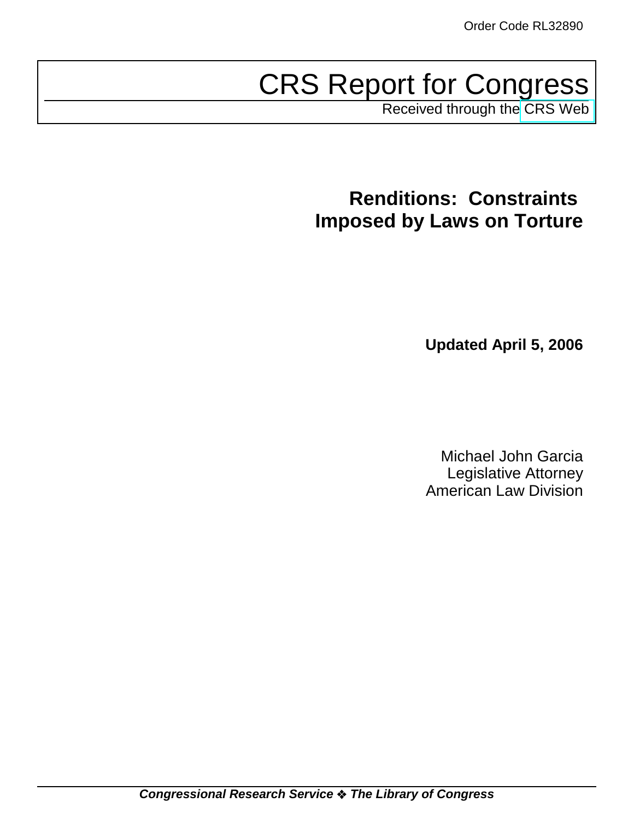# CRS Report for Congress

Received through the [CRS Web](http://www.fas.org/sgp/crs/natsec/index.html)

# **Renditions: Constraints Imposed by Laws on Torture**

**Updated April 5, 2006**

Michael John Garcia Legislative Attorney American Law Division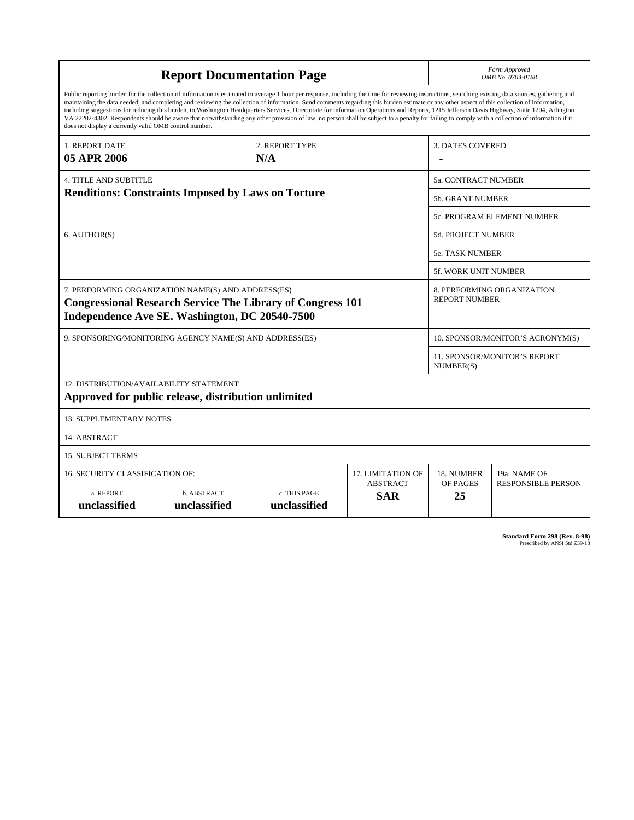| <b>Report Documentation Page</b>                                                                                                                                                                                                                                                                                                                                                                                                                                                                                                                                                                                                                                                                                                                                                                                                                                   |                             |                              |                               | Form Approved<br>OMB No. 0704-0188                 |                           |
|--------------------------------------------------------------------------------------------------------------------------------------------------------------------------------------------------------------------------------------------------------------------------------------------------------------------------------------------------------------------------------------------------------------------------------------------------------------------------------------------------------------------------------------------------------------------------------------------------------------------------------------------------------------------------------------------------------------------------------------------------------------------------------------------------------------------------------------------------------------------|-----------------------------|------------------------------|-------------------------------|----------------------------------------------------|---------------------------|
| Public reporting burden for the collection of information is estimated to average 1 hour per response, including the time for reviewing instructions, searching existing data sources, gathering and<br>maintaining the data needed, and completing and reviewing the collection of information. Send comments regarding this burden estimate or any other aspect of this collection of information,<br>including suggestions for reducing this burden, to Washington Headquarters Services, Directorate for Information Operations and Reports, 1215 Jefferson Davis Highway, Suite 1204, Arlington<br>VA 22202-4302. Respondents should be aware that notwithstanding any other provision of law, no person shall be subject to a penalty for failing to comply with a collection of information if it<br>does not display a currently valid OMB control number. |                             |                              |                               |                                                    |                           |
| 2. REPORT TYPE<br><b>1. REPORT DATE</b>                                                                                                                                                                                                                                                                                                                                                                                                                                                                                                                                                                                                                                                                                                                                                                                                                            |                             |                              | <b>3. DATES COVERED</b>       |                                                    |                           |
| 05 APR 2006                                                                                                                                                                                                                                                                                                                                                                                                                                                                                                                                                                                                                                                                                                                                                                                                                                                        |                             | N/A                          |                               |                                                    |                           |
| <b>4. TITLE AND SUBTITLE</b>                                                                                                                                                                                                                                                                                                                                                                                                                                                                                                                                                                                                                                                                                                                                                                                                                                       |                             |                              |                               | 5a. CONTRACT NUMBER                                |                           |
| <b>Renditions: Constraints Imposed by Laws on Torture</b>                                                                                                                                                                                                                                                                                                                                                                                                                                                                                                                                                                                                                                                                                                                                                                                                          |                             |                              |                               | <b>5b. GRANT NUMBER</b>                            |                           |
|                                                                                                                                                                                                                                                                                                                                                                                                                                                                                                                                                                                                                                                                                                                                                                                                                                                                    |                             |                              |                               | 5c. PROGRAM ELEMENT NUMBER                         |                           |
| 6. AUTHOR(S)                                                                                                                                                                                                                                                                                                                                                                                                                                                                                                                                                                                                                                                                                                                                                                                                                                                       |                             |                              |                               | 5d. PROJECT NUMBER                                 |                           |
|                                                                                                                                                                                                                                                                                                                                                                                                                                                                                                                                                                                                                                                                                                                                                                                                                                                                    |                             |                              |                               | <b>5e. TASK NUMBER</b>                             |                           |
|                                                                                                                                                                                                                                                                                                                                                                                                                                                                                                                                                                                                                                                                                                                                                                                                                                                                    |                             |                              |                               | 5f. WORK UNIT NUMBER                               |                           |
| 7. PERFORMING ORGANIZATION NAME(S) AND ADDRESS(ES)<br><b>Congressional Research Service The Library of Congress 101</b><br>Independence Ave SE. Washington, DC 20540-7500                                                                                                                                                                                                                                                                                                                                                                                                                                                                                                                                                                                                                                                                                          |                             |                              |                               | 8. PERFORMING ORGANIZATION<br><b>REPORT NUMBER</b> |                           |
| 9. SPONSORING/MONITORING AGENCY NAME(S) AND ADDRESS(ES)                                                                                                                                                                                                                                                                                                                                                                                                                                                                                                                                                                                                                                                                                                                                                                                                            |                             |                              |                               | 10. SPONSOR/MONITOR'S ACRONYM(S)                   |                           |
|                                                                                                                                                                                                                                                                                                                                                                                                                                                                                                                                                                                                                                                                                                                                                                                                                                                                    |                             |                              |                               | <b>11. SPONSOR/MONITOR'S REPORT</b><br>NUMBER(S)   |                           |
| 12. DISTRIBUTION/AVAILABILITY STATEMENT<br>Approved for public release, distribution unlimited                                                                                                                                                                                                                                                                                                                                                                                                                                                                                                                                                                                                                                                                                                                                                                     |                             |                              |                               |                                                    |                           |
| <b>13. SUPPLEMENTARY NOTES</b>                                                                                                                                                                                                                                                                                                                                                                                                                                                                                                                                                                                                                                                                                                                                                                                                                                     |                             |                              |                               |                                                    |                           |
| 14. ABSTRACT                                                                                                                                                                                                                                                                                                                                                                                                                                                                                                                                                                                                                                                                                                                                                                                                                                                       |                             |                              |                               |                                                    |                           |
| <b>15. SUBJECT TERMS</b>                                                                                                                                                                                                                                                                                                                                                                                                                                                                                                                                                                                                                                                                                                                                                                                                                                           |                             |                              |                               |                                                    |                           |
| <b>16. SECURITY CLASSIFICATION OF:</b><br><b>17. LIMITATION OF</b>                                                                                                                                                                                                                                                                                                                                                                                                                                                                                                                                                                                                                                                                                                                                                                                                 |                             |                              |                               | 18. NUMBER                                         | 19a. NAME OF              |
| a. REPORT<br>unclassified                                                                                                                                                                                                                                                                                                                                                                                                                                                                                                                                                                                                                                                                                                                                                                                                                                          | b. ABSTRACT<br>unclassified | c. THIS PAGE<br>unclassified | <b>ABSTRACT</b><br><b>SAR</b> | OF PAGES<br>25                                     | <b>RESPONSIBLE PERSON</b> |

**Standard Form 298 (Rev. 8-98)**<br>Prescribed by ANSI Std Z39-18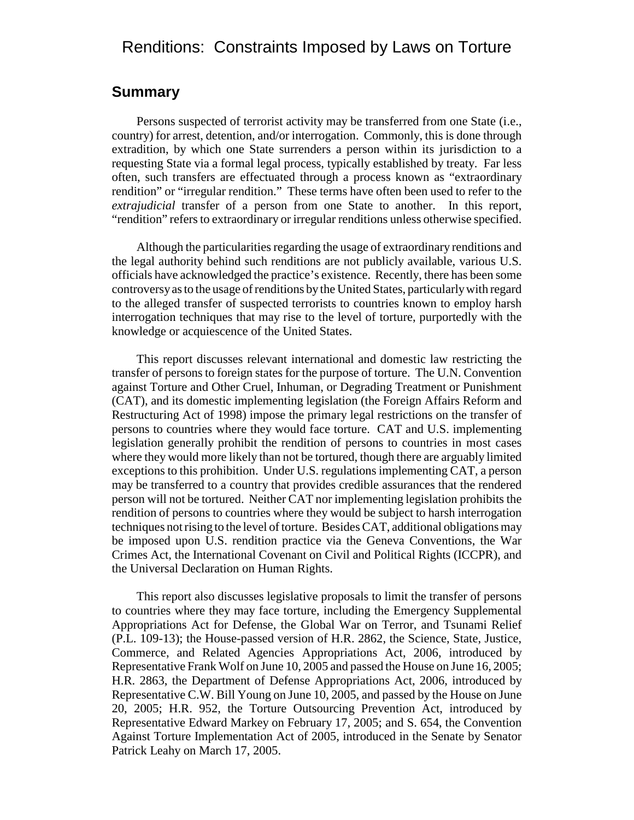# Renditions: Constraints Imposed by Laws on Torture

### **Summary**

Persons suspected of terrorist activity may be transferred from one State (i.e., country) for arrest, detention, and/or interrogation. Commonly, this is done through extradition, by which one State surrenders a person within its jurisdiction to a requesting State via a formal legal process, typically established by treaty. Far less often, such transfers are effectuated through a process known as "extraordinary rendition" or "irregular rendition." These terms have often been used to refer to the *extrajudicial* transfer of a person from one State to another. In this report, "rendition" refers to extraordinary or irregular renditions unless otherwise specified.

Although the particularities regarding the usage of extraordinary renditions and the legal authority behind such renditions are not publicly available, various U.S. officials have acknowledged the practice's existence. Recently, there has been some controversy as to the usage of renditions by the United States, particularly with regard to the alleged transfer of suspected terrorists to countries known to employ harsh interrogation techniques that may rise to the level of torture, purportedly with the knowledge or acquiescence of the United States.

This report discusses relevant international and domestic law restricting the transfer of persons to foreign states for the purpose of torture. The U.N. Convention against Torture and Other Cruel, Inhuman, or Degrading Treatment or Punishment (CAT), and its domestic implementing legislation (the Foreign Affairs Reform and Restructuring Act of 1998) impose the primary legal restrictions on the transfer of persons to countries where they would face torture. CAT and U.S. implementing legislation generally prohibit the rendition of persons to countries in most cases where they would more likely than not be tortured, though there are arguably limited exceptions to this prohibition. Under U.S. regulations implementing CAT, a person may be transferred to a country that provides credible assurances that the rendered person will not be tortured. Neither CAT nor implementing legislation prohibits the rendition of persons to countries where they would be subject to harsh interrogation techniques not rising to the level of torture. Besides CAT, additional obligations may be imposed upon U.S. rendition practice via the Geneva Conventions, the War Crimes Act, the International Covenant on Civil and Political Rights (ICCPR), and the Universal Declaration on Human Rights.

This report also discusses legislative proposals to limit the transfer of persons to countries where they may face torture, including the Emergency Supplemental Appropriations Act for Defense, the Global War on Terror, and Tsunami Relief (P.L. 109-13); the House-passed version of H.R. 2862, the Science, State, Justice, Commerce, and Related Agencies Appropriations Act, 2006, introduced by Representative Frank Wolf on June 10, 2005 and passed the House on June 16, 2005; H.R. 2863, the Department of Defense Appropriations Act, 2006, introduced by Representative C.W. Bill Young on June 10, 2005, and passed by the House on June 20, 2005; H.R. 952, the Torture Outsourcing Prevention Act, introduced by Representative Edward Markey on February 17, 2005; and S. 654, the Convention Against Torture Implementation Act of 2005, introduced in the Senate by Senator Patrick Leahy on March 17, 2005.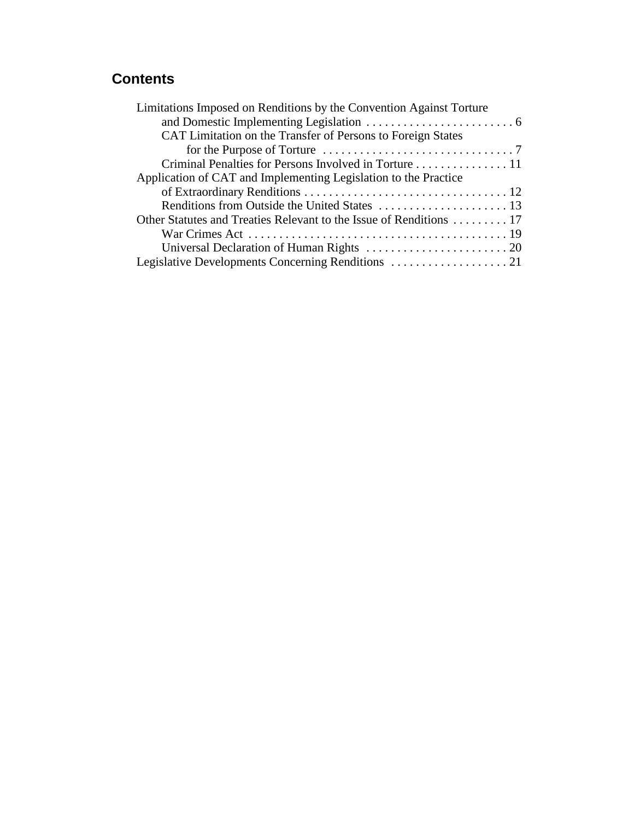# **Contents**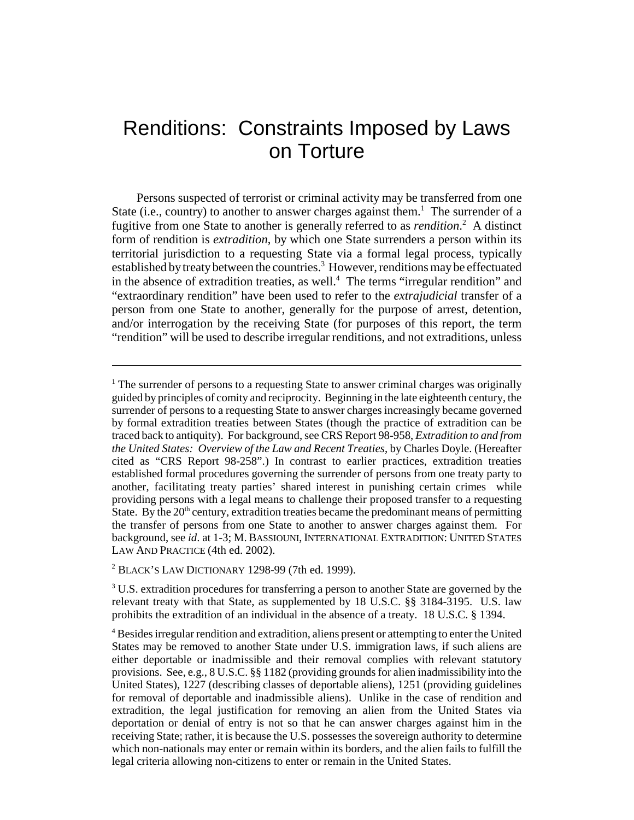# Renditions: Constraints Imposed by Laws on Torture

Persons suspected of terrorist or criminal activity may be transferred from one State (i.e., country) to another to answer charges against them.<sup>1</sup> The surrender of a fugitive from one State to another is generally referred to as *rendition*. 2 A distinct form of rendition is *extradition*, by which one State surrenders a person within its territorial jurisdiction to a requesting State via a formal legal process, typically established by treaty between the countries.<sup>3</sup> However, renditions may be effectuated in the absence of extradition treaties, as well.<sup>4</sup> The terms "irregular rendition" and "extraordinary rendition" have been used to refer to the *extrajudicial* transfer of a person from one State to another, generally for the purpose of arrest, detention, and/or interrogation by the receiving State (for purposes of this report, the term "rendition" will be used to describe irregular renditions, and not extraditions, unless

<sup>3</sup> U.S. extradition procedures for transferring a person to another State are governed by the relevant treaty with that State, as supplemented by 18 U.S.C. §§ 3184-3195. U.S. law prohibits the extradition of an individual in the absence of a treaty. 18 U.S.C. § 1394.

<sup>&</sup>lt;sup>1</sup> The surrender of persons to a requesting State to answer criminal charges was originally guided by principles of comity and reciprocity. Beginning in the late eighteenth century, the surrender of persons to a requesting State to answer charges increasingly became governed by formal extradition treaties between States (though the practice of extradition can be traced back to antiquity). For background, see CRS Report 98-958, *Extradition to and from the United States: Overview of the Law and Recent Treaties*, by Charles Doyle. (Hereafter cited as "CRS Report 98-258".) In contrast to earlier practices, extradition treaties established formal procedures governing the surrender of persons from one treaty party to another, facilitating treaty parties' shared interest in punishing certain crimes while providing persons with a legal means to challenge their proposed transfer to a requesting State. By the  $20<sup>th</sup>$  century, extradition treaties became the predominant means of permitting the transfer of persons from one State to another to answer charges against them. For background, see *id*. at 1-3; M. BASSIOUNI, INTERNATIONAL EXTRADITION: UNITED STATES LAW AND PRACTICE (4th ed. 2002).

<sup>2</sup> BLACK'S LAW DICTIONARY 1298-99 (7th ed. 1999).

<sup>&</sup>lt;sup>4</sup> Besides irregular rendition and extradition, aliens present or attempting to enter the United States may be removed to another State under U.S. immigration laws, if such aliens are either deportable or inadmissible and their removal complies with relevant statutory provisions. See, e.g., 8 U.S.C. §§ 1182 (providing grounds for alien inadmissibility into the United States), 1227 (describing classes of deportable aliens), 1251 (providing guidelines for removal of deportable and inadmissible aliens). Unlike in the case of rendition and extradition, the legal justification for removing an alien from the United States via deportation or denial of entry is not so that he can answer charges against him in the receiving State; rather, it is because the U.S. possesses the sovereign authority to determine which non-nationals may enter or remain within its borders, and the alien fails to fulfill the legal criteria allowing non-citizens to enter or remain in the United States.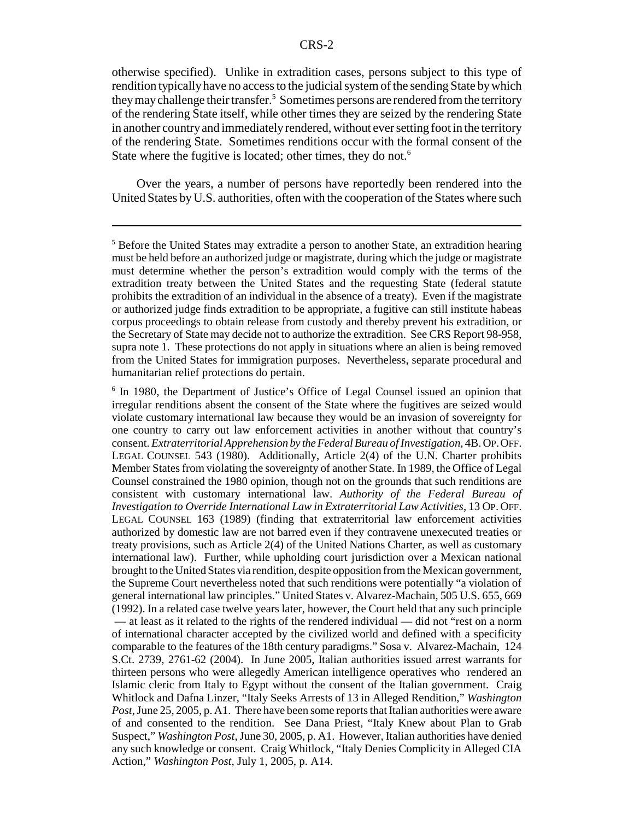otherwise specified). Unlike in extradition cases, persons subject to this type of rendition typically have no access to the judicial system of the sending State by which they may challenge their transfer.<sup>5</sup> Sometimes persons are rendered from the territory of the rendering State itself, while other times they are seized by the rendering State in another country and immediately rendered, without ever setting foot in the territory of the rendering State. Sometimes renditions occur with the formal consent of the State where the fugitive is located; other times, they do not.<sup>6</sup>

Over the years, a number of persons have reportedly been rendered into the United States by U.S. authorities, often with the cooperation of the States where such

<sup>&</sup>lt;sup>5</sup> Before the United States may extradite a person to another State, an extradition hearing must be held before an authorized judge or magistrate, during which the judge or magistrate must determine whether the person's extradition would comply with the terms of the extradition treaty between the United States and the requesting State (federal statute prohibits the extradition of an individual in the absence of a treaty). Even if the magistrate or authorized judge finds extradition to be appropriate, a fugitive can still institute habeas corpus proceedings to obtain release from custody and thereby prevent his extradition, or the Secretary of State may decide not to authorize the extradition. See CRS Report 98-958, supra note 1. These protections do not apply in situations where an alien is being removed from the United States for immigration purposes. Nevertheless, separate procedural and humanitarian relief protections do pertain.

<sup>&</sup>lt;sup>6</sup> In 1980, the Department of Justice's Office of Legal Counsel issued an opinion that irregular renditions absent the consent of the State where the fugitives are seized would violate customary international law because they would be an invasion of sovereignty for one country to carry out law enforcement activities in another without that country's consent. *Extraterritorial Apprehension by the Federal Bureau of Investigation*, 4B. OP.OFF. LEGAL COUNSEL 543 (1980). Additionally, Article 2(4) of the U.N. Charter prohibits Member States from violating the sovereignty of another State. In 1989, the Office of Legal Counsel constrained the 1980 opinion, though not on the grounds that such renditions are consistent with customary international law. *Authority of the Federal Bureau of Investigation to Override International Law in Extraterritorial Law Activities*, 13 OP. OFF. LEGAL COUNSEL 163 (1989) (finding that extraterritorial law enforcement activities authorized by domestic law are not barred even if they contravene unexecuted treaties or treaty provisions, such as Article 2(4) of the United Nations Charter, as well as customary international law). Further, while upholding court jurisdiction over a Mexican national brought to the United States via rendition, despite opposition from the Mexican government, the Supreme Court nevertheless noted that such renditions were potentially "a violation of general international law principles." United States v. Alvarez-Machain, 505 U.S. 655, 669 (1992). In a related case twelve years later, however, the Court held that any such principle — at least as it related to the rights of the rendered individual — did not "rest on a norm of international character accepted by the civilized world and defined with a specificity comparable to the features of the 18th century paradigms." Sosa v. Alvarez-Machain, 124 S.Ct. 2739, 2761-62 (2004). In June 2005, Italian authorities issued arrest warrants for thirteen persons who were allegedly American intelligence operatives who rendered an Islamic cleric from Italy to Egypt without the consent of the Italian government. Craig Whitlock and Dafna Linzer, "Italy Seeks Arrests of 13 in Alleged Rendition," *Washington Post*, June 25, 2005, p. A1. There have been some reports that Italian authorities were aware of and consented to the rendition. See Dana Priest, "Italy Knew about Plan to Grab Suspect," *Washington Post*, June 30, 2005, p. A1. However, Italian authorities have denied any such knowledge or consent. Craig Whitlock, "Italy Denies Complicity in Alleged CIA Action," *Washington Post*, July 1, 2005, p. A14.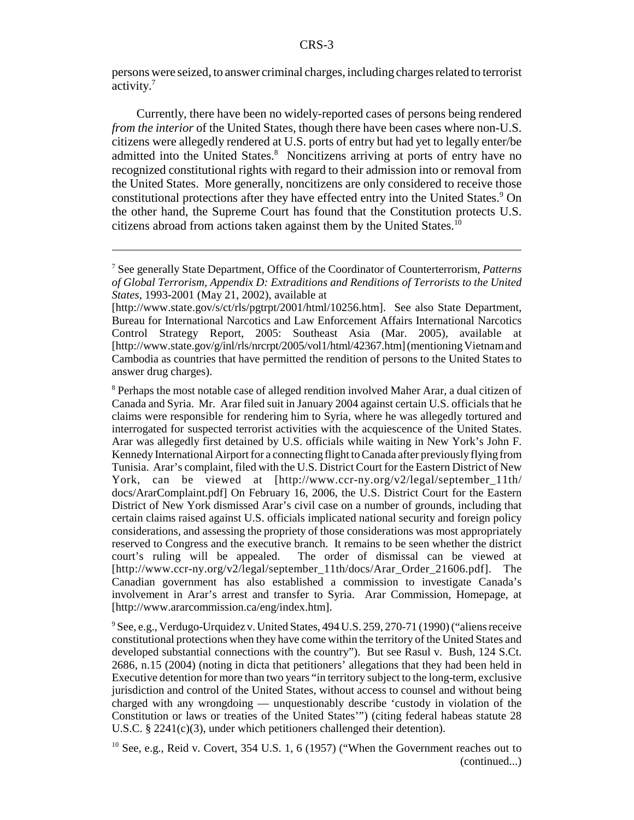persons were seized, to answer criminal charges, including charges related to terrorist activity.<sup>7</sup>

Currently, there have been no widely-reported cases of persons being rendered *from the interior* of the United States, though there have been cases where non-U.S. citizens were allegedly rendered at U.S. ports of entry but had yet to legally enter/be admitted into the United States.<sup>8</sup> Noncitizens arriving at ports of entry have no recognized constitutional rights with regard to their admission into or removal from the United States. More generally, noncitizens are only considered to receive those constitutional protections after they have effected entry into the United States.<sup>9</sup> On the other hand, the Supreme Court has found that the Constitution protects U.S. citizens abroad from actions taken against them by the United States.<sup>10</sup>

<sup>8</sup> Perhaps the most notable case of alleged rendition involved Maher Arar, a dual citizen of Canada and Syria. Mr. Arar filed suit in January 2004 against certain U.S. officials that he claims were responsible for rendering him to Syria, where he was allegedly tortured and interrogated for suspected terrorist activities with the acquiescence of the United States. Arar was allegedly first detained by U.S. officials while waiting in New York's John F. Kennedy International Airport for a connecting flight to Canada after previously flying from Tunisia. Arar's complaint, filed with the U.S. District Court for the Eastern District of New York, can be viewed at [http://www.ccr-ny.org/v2/legal/september 11th/ docs/ArarComplaint.pdf] On February 16, 2006, the U.S. District Court for the Eastern District of New York dismissed Arar's civil case on a number of grounds, including that certain claims raised against U.S. officials implicated national security and foreign policy considerations, and assessing the propriety of those considerations was most appropriately reserved to Congress and the executive branch. It remains to be seen whether the district court's ruling will be appealed. The order of dismissal can be viewed at [http://www.ccr-ny.org/v2/legal/september\_11th/docs/Arar\_Order\_21606.pdf]. The Canadian government has also established a commission to investigate Canada's involvement in Arar's arrest and transfer to Syria. Arar Commission, Homepage, at [http://www.ararcommission.ca/eng/index.htm].

<sup>9</sup> See, e.g., Verdugo-Urquidez v. United States, 494 U.S. 259, 270-71 (1990) ("aliens receive constitutional protections when they have come within the territory of the United States and developed substantial connections with the country"). But see Rasul v. Bush, 124 S.Ct. 2686, n.15 (2004) (noting in dicta that petitioners' allegations that they had been held in Executive detention for more than two years "in territory subject to the long-term, exclusive jurisdiction and control of the United States, without access to counsel and without being charged with any wrongdoing — unquestionably describe 'custody in violation of the Constitution or laws or treaties of the United States'") (citing federal habeas statute 28 U.S.C. § 2241(c)(3), under which petitioners challenged their detention).

<sup>7</sup> See generally State Department, Office of the Coordinator of Counterterrorism, *Patterns of Global Terrorism, Appendix D: Extraditions and Renditions of Terrorists to the United States*, 1993-2001 (May 21, 2002), available at

<sup>[</sup>http://www.state.gov/s/ct/rls/pgtrpt/2001/html/10256.htm]. See also State Department, Bureau for International Narcotics and Law Enforcement Affairs International Narcotics Control Strategy Report, 2005: Southeast Asia (Mar. 2005), available at [http://www.state.gov/g/inl/rls/nrcrpt/2005/vol1/html/42367.htm] (mentioning Vietnam and Cambodia as countries that have permitted the rendition of persons to the United States to answer drug charges).

 $10$  See, e.g., Reid v. Covert, 354 U.S. 1, 6 (1957) ("When the Government reaches out to (continued...)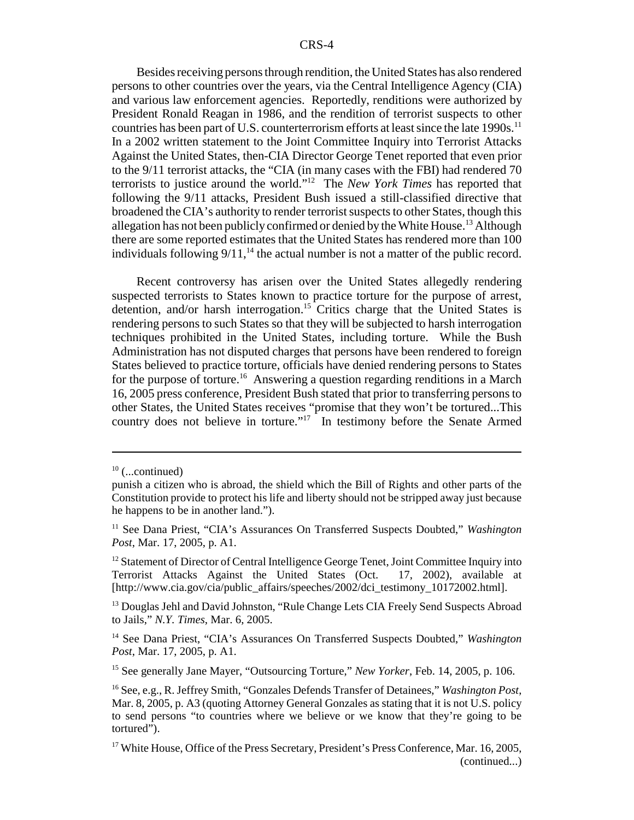Besides receiving persons through rendition, the United States has also rendered persons to other countries over the years, via the Central Intelligence Agency (CIA) and various law enforcement agencies. Reportedly, renditions were authorized by President Ronald Reagan in 1986, and the rendition of terrorist suspects to other countries has been part of U.S. counterterrorism efforts at least since the late 1990s.<sup>11</sup> In a 2002 written statement to the Joint Committee Inquiry into Terrorist Attacks Against the United States, then-CIA Director George Tenet reported that even prior to the 9/11 terrorist attacks, the "CIA (in many cases with the FBI) had rendered 70 terrorists to justice around the world."12 The *New York Times* has reported that following the 9/11 attacks, President Bush issued a still-classified directive that broadened the CIA's authority to render terrorist suspects to other States, though this allegation has not been publicly confirmed or denied by the White House.<sup>13</sup> Although there are some reported estimates that the United States has rendered more than 100 individuals following  $9/11$ ,<sup>14</sup> the actual number is not a matter of the public record.

Recent controversy has arisen over the United States allegedly rendering suspected terrorists to States known to practice torture for the purpose of arrest, detention, and/or harsh interrogation.<sup>15</sup> Critics charge that the United States is rendering persons to such States so that they will be subjected to harsh interrogation techniques prohibited in the United States, including torture. While the Bush Administration has not disputed charges that persons have been rendered to foreign States believed to practice torture, officials have denied rendering persons to States for the purpose of torture.<sup>16</sup> Answering a question regarding renditions in a March 16, 2005 press conference, President Bush stated that prior to transferring persons to other States, the United States receives "promise that they won't be tortured...This country does not believe in torture."<sup>17</sup> In testimony before the Senate Armed

15 See generally Jane Mayer, "Outsourcing Torture," *New Yorker*, Feb. 14, 2005, p. 106.

 $10$  (...continued)

punish a citizen who is abroad, the shield which the Bill of Rights and other parts of the Constitution provide to protect his life and liberty should not be stripped away just because he happens to be in another land.").

<sup>11</sup> See Dana Priest, "CIA's Assurances On Transferred Suspects Doubted," *Washington Post*, Mar. 17, 2005, p. A1.

 $12$  Statement of Director of Central Intelligence George Tenet, Joint Committee Inquiry into Terrorist Attacks Against the United States (Oct. 17, 2002), available at [http://www.cia.gov/cia/public\_affairs/speeches/2002/dci\_testimony\_10172002.html].

<sup>&</sup>lt;sup>13</sup> Douglas Jehl and David Johnston, "Rule Change Lets CIA Freely Send Suspects Abroad to Jails," *N.Y. Times*, Mar. 6, 2005.

<sup>14</sup> See Dana Priest, "CIA's Assurances On Transferred Suspects Doubted," *Washington Post*, Mar. 17, 2005, p. A1.

<sup>16</sup> See, e.g., R. Jeffrey Smith, "Gonzales Defends Transfer of Detainees," *Washington Post*, Mar. 8, 2005, p. A3 (quoting Attorney General Gonzales as stating that it is not U.S. policy to send persons "to countries where we believe or we know that they're going to be tortured").

<sup>&</sup>lt;sup>17</sup> White House, Office of the Press Secretary, President's Press Conference, Mar. 16, 2005, (continued...)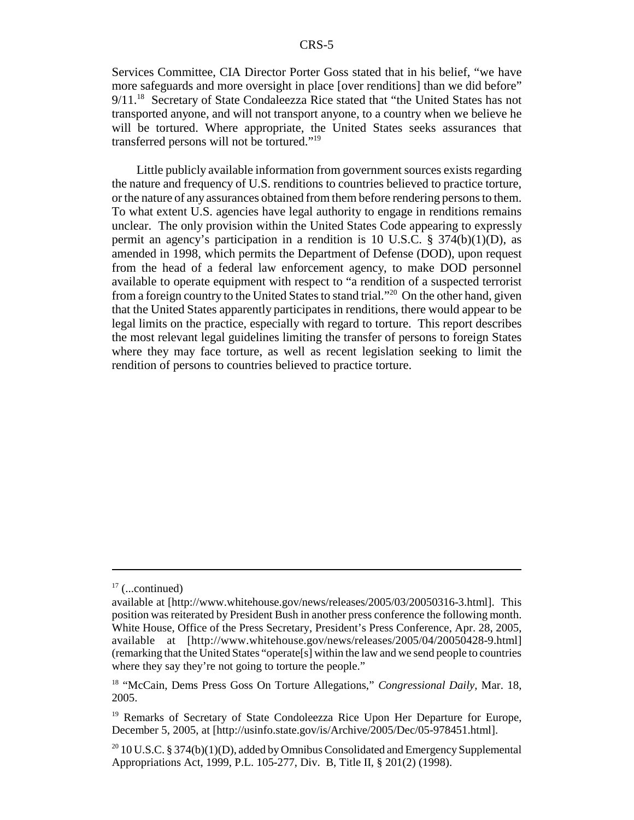Services Committee, CIA Director Porter Goss stated that in his belief, "we have more safeguards and more oversight in place [over renditions] than we did before" 9/11.<sup>18</sup> Secretary of State Condaleezza Rice stated that "the United States has not transported anyone, and will not transport anyone, to a country when we believe he will be tortured. Where appropriate, the United States seeks assurances that transferred persons will not be tortured."19

Little publicly available information from government sources exists regarding the nature and frequency of U.S. renditions to countries believed to practice torture, or the nature of any assurances obtained from them before rendering persons to them. To what extent U.S. agencies have legal authority to engage in renditions remains unclear. The only provision within the United States Code appearing to expressly permit an agency's participation in a rendition is 10 U.S.C.  $\S$  374(b)(1)(D), as amended in 1998, which permits the Department of Defense (DOD), upon request from the head of a federal law enforcement agency, to make DOD personnel available to operate equipment with respect to "a rendition of a suspected terrorist from a foreign country to the United States to stand trial."20 On the other hand, given that the United States apparently participates in renditions, there would appear to be legal limits on the practice, especially with regard to torture. This report describes the most relevant legal guidelines limiting the transfer of persons to foreign States where they may face torture, as well as recent legislation seeking to limit the rendition of persons to countries believed to practice torture.

 $17$  (...continued)

available at [http://www.whitehouse.gov/news/releases/2005/03/20050316-3.html]. This position was reiterated by President Bush in another press conference the following month. White House, Office of the Press Secretary, President's Press Conference, Apr. 28, 2005, available at [http://www.whitehouse.gov/news/releases/2005/04/20050428-9.html] (remarking that the United States "operate[s] within the law and we send people to countries where they say they're not going to torture the people."

<sup>18 &</sup>quot;McCain, Dems Press Goss On Torture Allegations," *Congressional Daily*, Mar. 18, 2005.

<sup>&</sup>lt;sup>19</sup> Remarks of Secretary of State Condoleezza Rice Upon Her Departure for Europe, December 5, 2005, at [http://usinfo.state.gov/is/Archive/2005/Dec/05-978451.html].

 $20\,10$  U.S.C. § 374(b)(1)(D), added by Omnibus Consolidated and Emergency Supplemental Appropriations Act, 1999, P.L. 105-277, Div. B, Title II, § 201(2) (1998).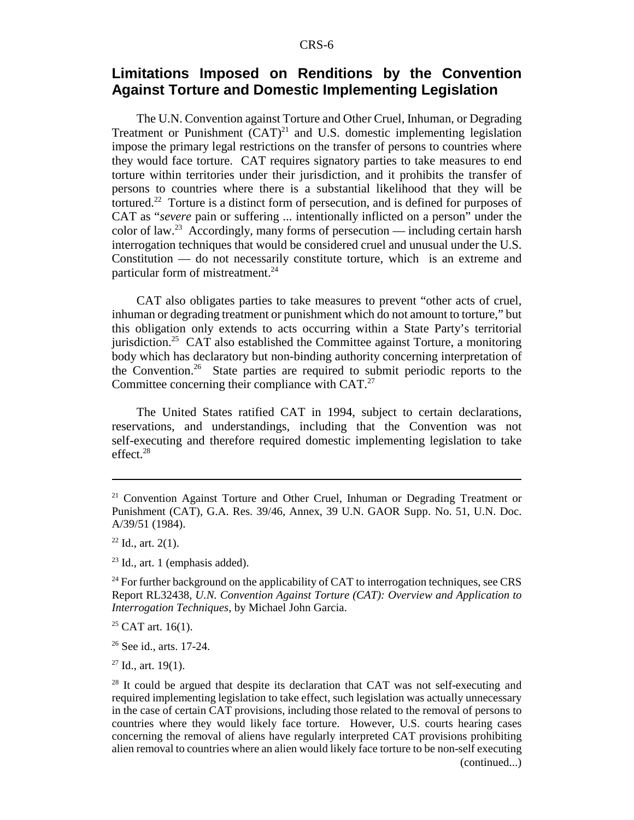# **Limitations Imposed on Renditions by the Convention Against Torture and Domestic Implementing Legislation**

The U.N. Convention against Torture and Other Cruel, Inhuman, or Degrading Treatment or Punishment  $(CAT)^{21}$  and U.S. domestic implementing legislation impose the primary legal restrictions on the transfer of persons to countries where they would face torture. CAT requires signatory parties to take measures to end torture within territories under their jurisdiction, and it prohibits the transfer of persons to countries where there is a substantial likelihood that they will be tortured.<sup>22</sup> Torture is a distinct form of persecution, and is defined for purposes of CAT as "*severe* pain or suffering ... intentionally inflicted on a person" under the color of law.<sup>23</sup> Accordingly, many forms of persecution — including certain harsh interrogation techniques that would be considered cruel and unusual under the U.S. Constitution — do not necessarily constitute torture, which is an extreme and particular form of mistreatment.<sup>24</sup>

CAT also obligates parties to take measures to prevent "other acts of cruel, inhuman or degrading treatment or punishment which do not amount to torture," but this obligation only extends to acts occurring within a State Party's territorial iurisdiction.<sup>25</sup> CAT also established the Committee against Torture, a monitoring body which has declaratory but non-binding authority concerning interpretation of the Convention.<sup>26</sup> State parties are required to submit periodic reports to the Committee concerning their compliance with CAT.<sup>27</sup>

The United States ratified CAT in 1994, subject to certain declarations, reservations, and understandings, including that the Convention was not self-executing and therefore required domestic implementing legislation to take effect.<sup>28</sup>

 $25$  CAT art. 16(1).

 $26$  See id., arts. 17-24.

 $27$  Id., art. 19(1).

<sup>&</sup>lt;sup>21</sup> Convention Against Torture and Other Cruel, Inhuman or Degrading Treatment or Punishment (CAT), G.A. Res. 39/46, Annex, 39 U.N. GAOR Supp. No. 51, U.N. Doc. A/39/51 (1984).

 $22$  Id., art. 2(1).

 $23$  Id., art. 1 (emphasis added).

 $24$  For further background on the applicability of CAT to interrogation techniques, see CRS Report RL32438, *U.N. Convention Against Torture (CAT): Overview and Application to Interrogation Techniques*, by Michael John Garcia.

 $28$  It could be argued that despite its declaration that CAT was not self-executing and required implementing legislation to take effect, such legislation was actually unnecessary in the case of certain CAT provisions, including those related to the removal of persons to countries where they would likely face torture. However, U.S. courts hearing cases concerning the removal of aliens have regularly interpreted CAT provisions prohibiting alien removal to countries where an alien would likely face torture to be non-self executing (continued...)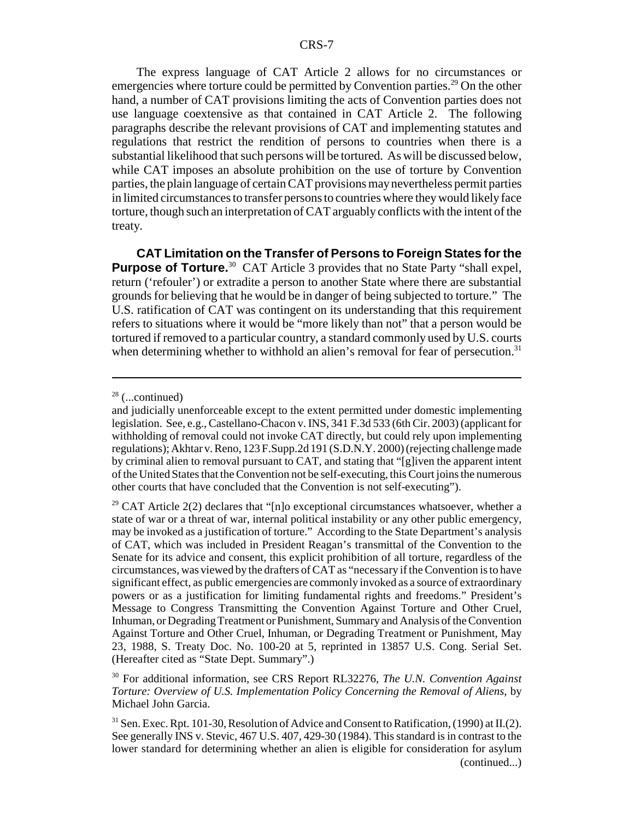The express language of CAT Article 2 allows for no circumstances or emergencies where torture could be permitted by Convention parties.<sup>29</sup> On the other hand, a number of CAT provisions limiting the acts of Convention parties does not use language coextensive as that contained in CAT Article 2. The following paragraphs describe the relevant provisions of CAT and implementing statutes and regulations that restrict the rendition of persons to countries when there is a substantial likelihood that such persons will be tortured. As will be discussed below, while CAT imposes an absolute prohibition on the use of torture by Convention parties, the plain language of certain CAT provisions may nevertheless permit parties in limited circumstances to transfer persons to countries where they would likely face torture, though such an interpretation of CAT arguably conflicts with the intent of the treaty.

**CAT Limitation on the Transfer of Persons to Foreign States for the Purpose of Torture.**<sup>30</sup> CAT Article 3 provides that no State Party "shall expel, return ('refouler') or extradite a person to another State where there are substantial grounds for believing that he would be in danger of being subjected to torture." The U.S. ratification of CAT was contingent on its understanding that this requirement refers to situations where it would be "more likely than not" that a person would be tortured if removed to a particular country, a standard commonly used by U.S. courts when determining whether to withhold an alien's removal for fear of persecution.<sup>31</sup>

 $28$  (...continued)

and judicially unenforceable except to the extent permitted under domestic implementing legislation. See, e.g., Castellano-Chacon v. INS, 341 F.3d 533 (6th Cir. 2003) (applicant for withholding of removal could not invoke CAT directly, but could rely upon implementing regulations); Akhtar v. Reno, 123 F.Supp.2d 191 (S.D.N.Y. 2000) (rejecting challenge made by criminal alien to removal pursuant to CAT, and stating that "[g]iven the apparent intent of the United States that the Convention not be self-executing, this Court joins the numerous other courts that have concluded that the Convention is not self-executing").

<sup>&</sup>lt;sup>29</sup> CAT Article 2(2) declares that "[n]o exceptional circumstances whatsoever, whether a state of war or a threat of war, internal political instability or any other public emergency, may be invoked as a justification of torture." According to the State Department's analysis of CAT, which was included in President Reagan's transmittal of the Convention to the Senate for its advice and consent, this explicit prohibition of all torture, regardless of the circumstances, was viewed by the drafters of CAT as "necessary if the Convention is to have significant effect, as public emergencies are commonly invoked as a source of extraordinary powers or as a justification for limiting fundamental rights and freedoms." President's Message to Congress Transmitting the Convention Against Torture and Other Cruel, Inhuman, or Degrading Treatment or Punishment, Summary and Analysis of the Convention Against Torture and Other Cruel, Inhuman, or Degrading Treatment or Punishment, May 23, 1988, S. Treaty Doc. No. 100-20 at 5, reprinted in 13857 U.S. Cong. Serial Set. (Hereafter cited as "State Dept. Summary".)

<sup>30</sup> For additional information, see CRS Report RL32276, *The U.N. Convention Against Torture: Overview of U.S. Implementation Policy Concerning the Removal of Aliens*, by Michael John Garcia.

 $31$  Sen. Exec. Rpt. 101-30, Resolution of Advice and Consent to Ratification, (1990) at II.(2). See generally INS v. Stevic, 467 U.S. 407, 429-30 (1984). This standard is in contrast to the lower standard for determining whether an alien is eligible for consideration for asylum (continued...)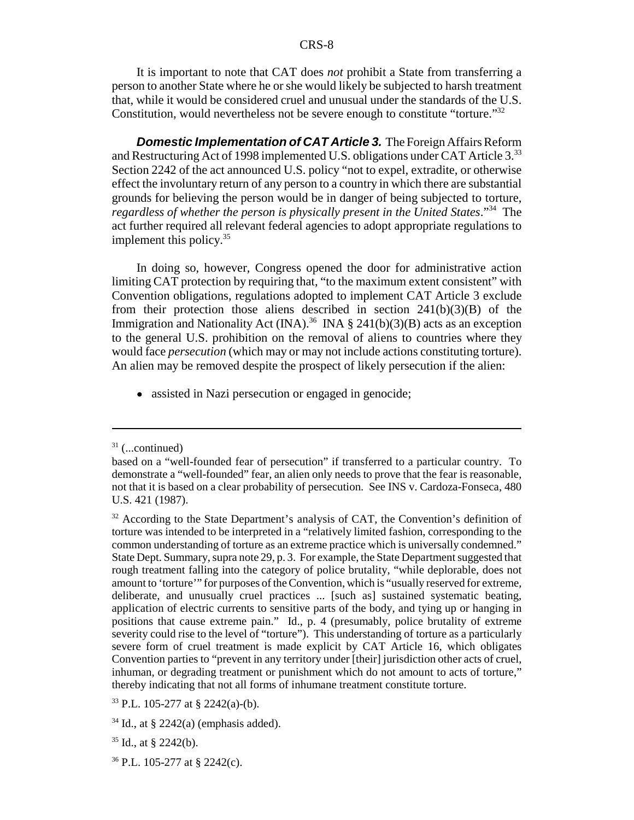It is important to note that CAT does *not* prohibit a State from transferring a person to another State where he or she would likely be subjected to harsh treatment that, while it would be considered cruel and unusual under the standards of the U.S. Constitution, would nevertheless not be severe enough to constitute "torture."<sup>32</sup>

*Domestic Implementation of CAT Article 3.* The Foreign Affairs Reform and Restructuring Act of 1998 implemented U.S. obligations under CAT Article 3.<sup>33</sup> Section 2242 of the act announced U.S. policy "not to expel, extradite, or otherwise effect the involuntary return of any person to a country in which there are substantial grounds for believing the person would be in danger of being subjected to torture, *regardless of whether the person is physically present in the United States*."34 The act further required all relevant federal agencies to adopt appropriate regulations to implement this policy.<sup>35</sup>

In doing so, however, Congress opened the door for administrative action limiting CAT protection by requiring that, "to the maximum extent consistent" with Convention obligations, regulations adopted to implement CAT Article 3 exclude from their protection those aliens described in section  $241(b)(3)(B)$  of the Immigration and Nationality Act (INA).<sup>36</sup> INA § 241(b)(3)(B) acts as an exception to the general U.S. prohibition on the removal of aliens to countries where they would face *persecution* (which may or may not include actions constituting torture). An alien may be removed despite the prospect of likely persecution if the alien:

• assisted in Nazi persecution or engaged in genocide;

 $31$  (...continued)

based on a "well-founded fear of persecution" if transferred to a particular country. To demonstrate a "well-founded" fear, an alien only needs to prove that the fear is reasonable, not that it is based on a clear probability of persecution. See INS v. Cardoza-Fonseca, 480 U.S. 421 (1987).

<sup>&</sup>lt;sup>32</sup> According to the State Department's analysis of CAT, the Convention's definition of torture was intended to be interpreted in a "relatively limited fashion, corresponding to the common understanding of torture as an extreme practice which is universally condemned." State Dept. Summary, supra note 29, p. 3. For example, the State Department suggested that rough treatment falling into the category of police brutality, "while deplorable, does not amount to 'torture'" for purposes of the Convention, which is "usually reserved for extreme, deliberate, and unusually cruel practices ... [such as] sustained systematic beating, application of electric currents to sensitive parts of the body, and tying up or hanging in positions that cause extreme pain." Id., p. 4 (presumably, police brutality of extreme severity could rise to the level of "torture"). This understanding of torture as a particularly severe form of cruel treatment is made explicit by CAT Article 16, which obligates Convention parties to "prevent in any territory under [their] jurisdiction other acts of cruel, inhuman, or degrading treatment or punishment which do not amount to acts of torture," thereby indicating that not all forms of inhumane treatment constitute torture.

<sup>33</sup> P.L. 105-277 at § 2242(a)-(b).

 $34$  Id., at § 2242(a) (emphasis added).

 $35$  Id., at § 2242(b).

<sup>36</sup> P.L. 105-277 at § 2242(c).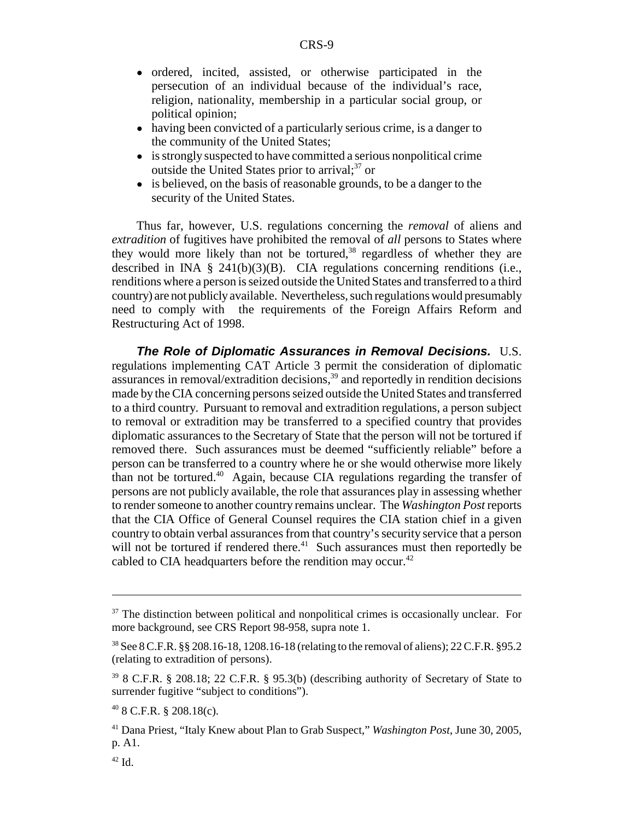- ! ordered, incited, assisted, or otherwise participated in the persecution of an individual because of the individual's race, religion, nationality, membership in a particular social group, or political opinion;
- having been convicted of a particularly serious crime, is a danger to the community of the United States;
- is strongly suspected to have committed a serious nonpolitical crime outside the United States prior to arrival; $37$  or
- is believed, on the basis of reasonable grounds, to be a danger to the security of the United States.

Thus far, however, U.S. regulations concerning the *removal* of aliens and *extradition* of fugitives have prohibited the removal of *all* persons to States where they would more likely than not be tortured, $38$  regardless of whether they are described in INA § 241(b)(3)(B). CIA regulations concerning renditions (i.e., renditions where a person is seized outside the United States and transferred to a third country) are not publicly available. Nevertheless, such regulations would presumably need to comply with the requirements of the Foreign Affairs Reform and Restructuring Act of 1998.

*The Role of Diplomatic Assurances in Removal Decisions.* U.S. regulations implementing CAT Article 3 permit the consideration of diplomatic assurances in removal/extradition decisions,<sup>39</sup> and reportedly in rendition decisions made by the CIA concerning persons seized outside the United States and transferred to a third country. Pursuant to removal and extradition regulations, a person subject to removal or extradition may be transferred to a specified country that provides diplomatic assurances to the Secretary of State that the person will not be tortured if removed there. Such assurances must be deemed "sufficiently reliable" before a person can be transferred to a country where he or she would otherwise more likely than not be tortured.<sup>40</sup> Again, because CIA regulations regarding the transfer of persons are not publicly available, the role that assurances play in assessing whether to render someone to another country remains unclear. The *Washington Post* reports that the CIA Office of General Counsel requires the CIA station chief in a given country to obtain verbal assurances from that country's security service that a person will not be tortured if rendered there.<sup>41</sup> Such assurances must then reportedly be cabled to CIA headquarters before the rendition may occur.<sup>42</sup>

 $37$  The distinction between political and nonpolitical crimes is occasionally unclear. For more background, see CRS Report 98-958, supra note 1.

<sup>38</sup> See 8 C.F.R. §§ 208.16-18, 1208.16-18 (relating to the removal of aliens); 22 C.F.R. §95.2 (relating to extradition of persons).

<sup>39 8</sup> C.F.R. § 208.18; 22 C.F.R. § 95.3(b) (describing authority of Secretary of State to surrender fugitive "subject to conditions").

<sup>40 8</sup> C.F.R. § 208.18(c).

<sup>41</sup> Dana Priest, "Italy Knew about Plan to Grab Suspect," *Washington Post*, June 30, 2005, p. A1.

 $42$  Id.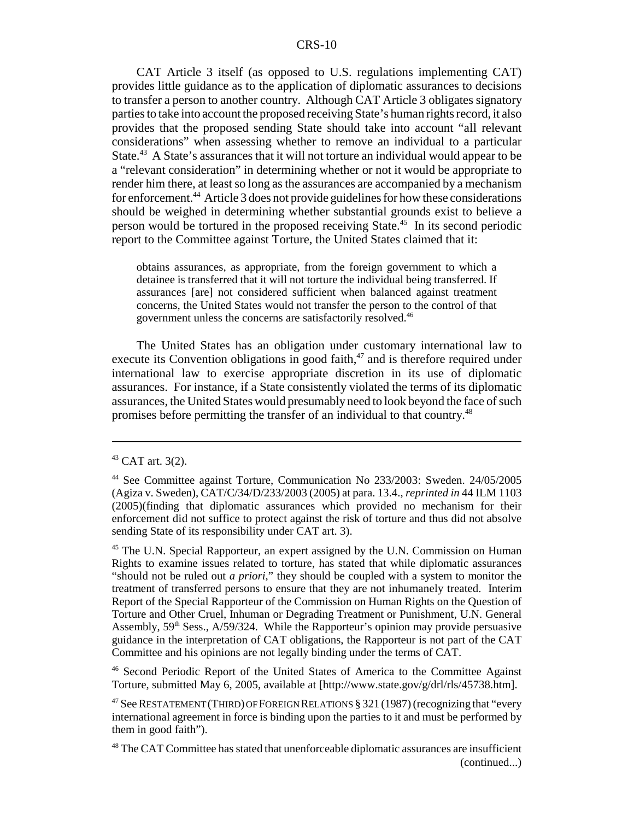CAT Article 3 itself (as opposed to U.S. regulations implementing CAT) provides little guidance as to the application of diplomatic assurances to decisions to transfer a person to another country. Although CAT Article 3 obligates signatory parties to take into account the proposed receiving State's human rights record, it also provides that the proposed sending State should take into account "all relevant considerations" when assessing whether to remove an individual to a particular State.<sup>43</sup> A State's assurances that it will not torture an individual would appear to be a "relevant consideration" in determining whether or not it would be appropriate to render him there, at least so long as the assurances are accompanied by a mechanism for enforcement.<sup>44</sup> Article 3 does not provide guidelines for how these considerations should be weighed in determining whether substantial grounds exist to believe a person would be tortured in the proposed receiving State.45 In its second periodic report to the Committee against Torture, the United States claimed that it:

obtains assurances, as appropriate, from the foreign government to which a detainee is transferred that it will not torture the individual being transferred. If assurances [are] not considered sufficient when balanced against treatment concerns, the United States would not transfer the person to the control of that government unless the concerns are satisfactorily resolved.46

The United States has an obligation under customary international law to execute its Convention obligations in good faith, $47$  and is therefore required under international law to exercise appropriate discretion in its use of diplomatic assurances. For instance, if a State consistently violated the terms of its diplomatic assurances, the United States would presumably need to look beyond the face of such promises before permitting the transfer of an individual to that country.<sup>48</sup>

46 Second Periodic Report of the United States of America to the Committee Against Torture, submitted May 6, 2005, available at [http://www.state.gov/g/drl/rls/45738.htm].

47 See RESTATEMENT (THIRD) OF FOREIGN RELATIONS § 321 (1987) (recognizing that "every international agreement in force is binding upon the parties to it and must be performed by them in good faith").

 $43$  CAT art. 3(2).

<sup>44</sup> See Committee against Torture, Communication No 233/2003: Sweden. 24/05/2005 (Agiza v. Sweden), CAT/C/34/D/233/2003 (2005) at para. 13.4., *reprinted in* 44 ILM 1103 (2005)(finding that diplomatic assurances which provided no mechanism for their enforcement did not suffice to protect against the risk of torture and thus did not absolve sending State of its responsibility under CAT art. 3).

<sup>&</sup>lt;sup>45</sup> The U.N. Special Rapporteur, an expert assigned by the U.N. Commission on Human Rights to examine issues related to torture, has stated that while diplomatic assurances "should not be ruled out *a priori*," they should be coupled with a system to monitor the treatment of transferred persons to ensure that they are not inhumanely treated. Interim Report of the Special Rapporteur of the Commission on Human Rights on the Question of Torture and Other Cruel, Inhuman or Degrading Treatment or Punishment, U.N. General Assembly, 59<sup>th</sup> Sess., A/59/324. While the Rapporteur's opinion may provide persuasive guidance in the interpretation of CAT obligations, the Rapporteur is not part of the CAT Committee and his opinions are not legally binding under the terms of CAT.

<sup>&</sup>lt;sup>48</sup> The CAT Committee has stated that unenforceable diplomatic assurances are insufficient (continued...)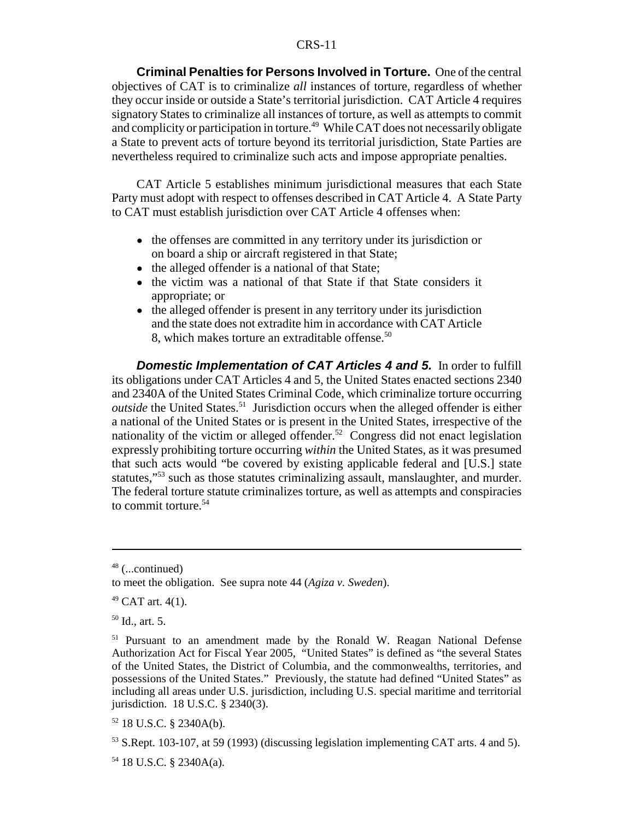**Criminal Penalties for Persons Involved in Torture.** One of the central objectives of CAT is to criminalize *all* instances of torture, regardless of whether they occur inside or outside a State's territorial jurisdiction. CAT Article 4 requires signatory States to criminalize all instances of torture, as well as attempts to commit and complicity or participation in torture.<sup>49</sup> While CAT does not necessarily obligate a State to prevent acts of torture beyond its territorial jurisdiction, State Parties are nevertheless required to criminalize such acts and impose appropriate penalties.

CAT Article 5 establishes minimum jurisdictional measures that each State Party must adopt with respect to offenses described in CAT Article 4. A State Party to CAT must establish jurisdiction over CAT Article 4 offenses when:

- the offenses are committed in any territory under its jurisdiction or on board a ship or aircraft registered in that State;
- the alleged offender is a national of that State;
- the victim was a national of that State if that State considers it appropriate; or
- the alleged offender is present in any territory under its jurisdiction and the state does not extradite him in accordance with CAT Article 8, which makes torture an extraditable offense.<sup>50</sup>

**Domestic Implementation of CAT Articles 4 and 5.** In order to fulfill its obligations under CAT Articles 4 and 5, the United States enacted sections 2340 and 2340A of the United States Criminal Code, which criminalize torture occurring *outside* the United States.<sup>51</sup> Jurisdiction occurs when the alleged offender is either a national of the United States or is present in the United States, irrespective of the nationality of the victim or alleged offender.<sup>52</sup> Congress did not enact legislation expressly prohibiting torture occurring *within* the United States, as it was presumed that such acts would "be covered by existing applicable federal and [U.S.] state statutes,"53 such as those statutes criminalizing assault, manslaughter, and murder. The federal torture statute criminalizes torture, as well as attempts and conspiracies to commit torture.54

 $48$  (...continued)

to meet the obligation. See supra note 44 (*Agiza v. Sweden*).

 $49$  CAT art. 4(1).

<sup>50</sup> Id., art. 5.

<sup>&</sup>lt;sup>51</sup> Pursuant to an amendment made by the Ronald W. Reagan National Defense Authorization Act for Fiscal Year 2005, "United States" is defined as "the several States of the United States, the District of Columbia, and the commonwealths, territories, and possessions of the United States." Previously, the statute had defined "United States" as including all areas under U.S. jurisdiction, including U.S. special maritime and territorial jurisdiction. 18 U.S.C. § 2340(3).

<sup>52 18</sup> U.S.C. § 2340A(b).

 $53$  S.Rept. 103-107, at 59 (1993) (discussing legislation implementing CAT arts. 4 and 5).

<sup>54 18</sup> U.S.C. § 2340A(a).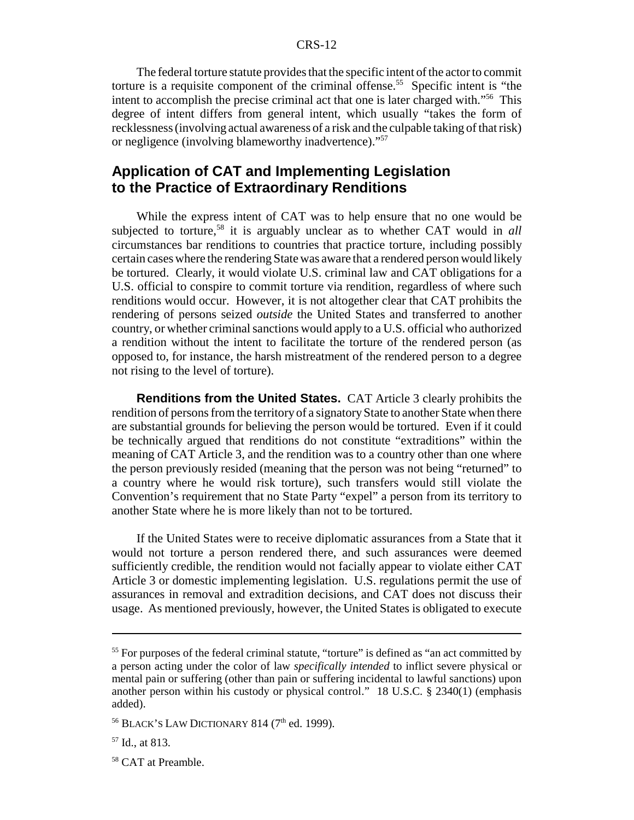The federal torture statute provides that the specific intent of the actor to commit torture is a requisite component of the criminal offense.<sup>55</sup> Specific intent is "the intent to accomplish the precise criminal act that one is later charged with."56 This degree of intent differs from general intent, which usually "takes the form of recklessness (involving actual awareness of a risk and the culpable taking of that risk) or negligence (involving blameworthy inadvertence)."57

### **Application of CAT and Implementing Legislation to the Practice of Extraordinary Renditions**

While the express intent of CAT was to help ensure that no one would be subjected to torture,<sup>58</sup> it is arguably unclear as to whether CAT would in *all* circumstances bar renditions to countries that practice torture, including possibly certain cases where the rendering State was aware that a rendered person would likely be tortured. Clearly, it would violate U.S. criminal law and CAT obligations for a U.S. official to conspire to commit torture via rendition, regardless of where such renditions would occur. However, it is not altogether clear that CAT prohibits the rendering of persons seized *outside* the United States and transferred to another country, or whether criminal sanctions would apply to a U.S. official who authorized a rendition without the intent to facilitate the torture of the rendered person (as opposed to, for instance, the harsh mistreatment of the rendered person to a degree not rising to the level of torture).

**Renditions from the United States.** CAT Article 3 clearly prohibits the rendition of persons from the territory of a signatory State to another State when there are substantial grounds for believing the person would be tortured. Even if it could be technically argued that renditions do not constitute "extraditions" within the meaning of CAT Article 3, and the rendition was to a country other than one where the person previously resided (meaning that the person was not being "returned" to a country where he would risk torture), such transfers would still violate the Convention's requirement that no State Party "expel" a person from its territory to another State where he is more likely than not to be tortured.

If the United States were to receive diplomatic assurances from a State that it would not torture a person rendered there, and such assurances were deemed sufficiently credible, the rendition would not facially appear to violate either CAT Article 3 or domestic implementing legislation. U.S. regulations permit the use of assurances in removal and extradition decisions, and CAT does not discuss their usage. As mentioned previously, however, the United States is obligated to execute

<sup>&</sup>lt;sup>55</sup> For purposes of the federal criminal statute, "torture" is defined as "an act committed by a person acting under the color of law *specifically intended* to inflict severe physical or mental pain or suffering (other than pain or suffering incidental to lawful sanctions) upon another person within his custody or physical control." 18 U.S.C. § 2340(1) (emphasis added).

<sup>&</sup>lt;sup>56</sup> BLACK'S LAW DICTIONARY 814 (7<sup>th</sup> ed. 1999).

<sup>57</sup> Id., at 813.

<sup>&</sup>lt;sup>58</sup> CAT at Preamble.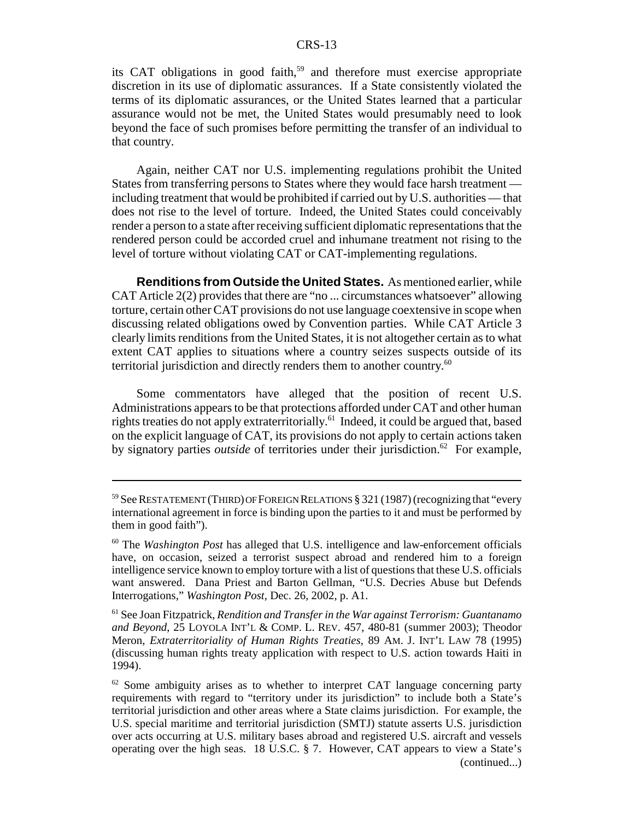its CAT obligations in good faith,<sup>59</sup> and therefore must exercise appropriate discretion in its use of diplomatic assurances. If a State consistently violated the terms of its diplomatic assurances, or the United States learned that a particular assurance would not be met, the United States would presumably need to look beyond the face of such promises before permitting the transfer of an individual to that country.

Again, neither CAT nor U.S. implementing regulations prohibit the United States from transferring persons to States where they would face harsh treatment including treatment that would be prohibited if carried out by U.S. authorities — that does not rise to the level of torture. Indeed, the United States could conceivably render a person to a state after receiving sufficient diplomatic representations that the rendered person could be accorded cruel and inhumane treatment not rising to the level of torture without violating CAT or CAT-implementing regulations.

**Renditions from Outside the United States.** As mentioned earlier, while CAT Article 2(2) provides that there are "no ... circumstances whatsoever" allowing torture, certain other CAT provisions do not use language coextensive in scope when discussing related obligations owed by Convention parties. While CAT Article 3 clearly limits renditions from the United States, it is not altogether certain as to what extent CAT applies to situations where a country seizes suspects outside of its territorial jurisdiction and directly renders them to another country.<sup>60</sup>

Some commentators have alleged that the position of recent U.S. Administrations appears to be that protections afforded under CAT and other human rights treaties do not apply extraterritorially.61 Indeed, it could be argued that, based on the explicit language of CAT, its provisions do not apply to certain actions taken by signatory parties *outside* of territories under their jurisdiction.<sup>62</sup> For example,

<sup>59</sup> See RESTATEMENT (THIRD) OF FOREIGN RELATIONS § 321 (1987) (recognizing that "every international agreement in force is binding upon the parties to it and must be performed by them in good faith").

<sup>60</sup> The *Washington Post* has alleged that U.S. intelligence and law-enforcement officials have, on occasion, seized a terrorist suspect abroad and rendered him to a foreign intelligence service known to employ torture with a list of questions that these U.S. officials want answered. Dana Priest and Barton Gellman, "U.S. Decries Abuse but Defends Interrogations," *Washington Post*, Dec. 26, 2002, p. A1.

<sup>61</sup> See Joan Fitzpatrick, *Rendition and Transfer in the War against Terrorism: Guantanamo and Beyond*, 25 LOYOLA INT'L & COMP. L. REV. 457, 480-81 (summer 2003); Theodor Meron, *Extraterritoriality of Human Rights Treaties*, 89 AM. J. INT'L LAW 78 (1995) (discussing human rights treaty application with respect to U.S. action towards Haiti in 1994).

 $62$  Some ambiguity arises as to whether to interpret CAT language concerning party requirements with regard to "territory under its jurisdiction" to include both a State's territorial jurisdiction and other areas where a State claims jurisdiction. For example, the U.S. special maritime and territorial jurisdiction (SMTJ) statute asserts U.S. jurisdiction over acts occurring at U.S. military bases abroad and registered U.S. aircraft and vessels operating over the high seas. 18 U.S.C. § 7. However, CAT appears to view a State's (continued...)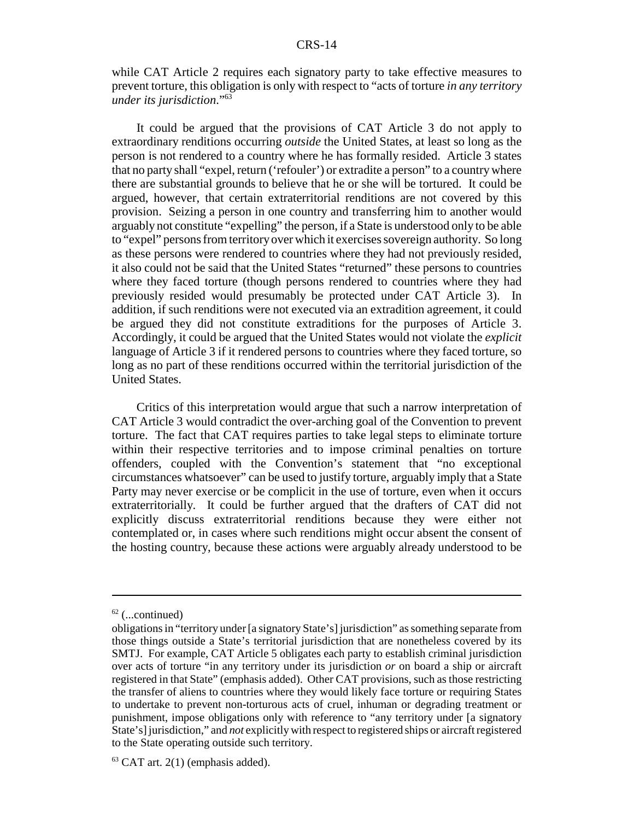while CAT Article 2 requires each signatory party to take effective measures to prevent torture, this obligation is only with respect to "acts of torture *in any territory under its jurisdiction*."63

It could be argued that the provisions of CAT Article 3 do not apply to extraordinary renditions occurring *outside* the United States, at least so long as the person is not rendered to a country where he has formally resided. Article 3 states that no party shall "expel, return ('refouler') or extradite a person" to a country where there are substantial grounds to believe that he or she will be tortured. It could be argued, however, that certain extraterritorial renditions are not covered by this provision. Seizing a person in one country and transferring him to another would arguably not constitute "expelling" the person, if a State is understood only to be able to "expel" persons from territory over which it exercises sovereign authority. So long as these persons were rendered to countries where they had not previously resided, it also could not be said that the United States "returned" these persons to countries where they faced torture (though persons rendered to countries where they had previously resided would presumably be protected under CAT Article 3). In addition, if such renditions were not executed via an extradition agreement, it could be argued they did not constitute extraditions for the purposes of Article 3. Accordingly, it could be argued that the United States would not violate the *explicit* language of Article 3 if it rendered persons to countries where they faced torture, so long as no part of these renditions occurred within the territorial jurisdiction of the United States.

Critics of this interpretation would argue that such a narrow interpretation of CAT Article 3 would contradict the over-arching goal of the Convention to prevent torture. The fact that CAT requires parties to take legal steps to eliminate torture within their respective territories and to impose criminal penalties on torture offenders, coupled with the Convention's statement that "no exceptional circumstances whatsoever" can be used to justify torture, arguably imply that a State Party may never exercise or be complicit in the use of torture, even when it occurs extraterritorially. It could be further argued that the drafters of CAT did not explicitly discuss extraterritorial renditions because they were either not contemplated or, in cases where such renditions might occur absent the consent of the hosting country, because these actions were arguably already understood to be

 $62$  (...continued)

obligations in "territory under [a signatory State's] jurisdiction" as something separate from those things outside a State's territorial jurisdiction that are nonetheless covered by its SMTJ. For example, CAT Article 5 obligates each party to establish criminal jurisdiction over acts of torture "in any territory under its jurisdiction *or* on board a ship or aircraft registered in that State" (emphasis added). Other CAT provisions, such as those restricting the transfer of aliens to countries where they would likely face torture or requiring States to undertake to prevent non-torturous acts of cruel, inhuman or degrading treatment or punishment, impose obligations only with reference to "any territory under [a signatory State's] jurisdiction," and *not* explicitly with respect to registered ships or aircraft registered to the State operating outside such territory.

 $63$  CAT art. 2(1) (emphasis added).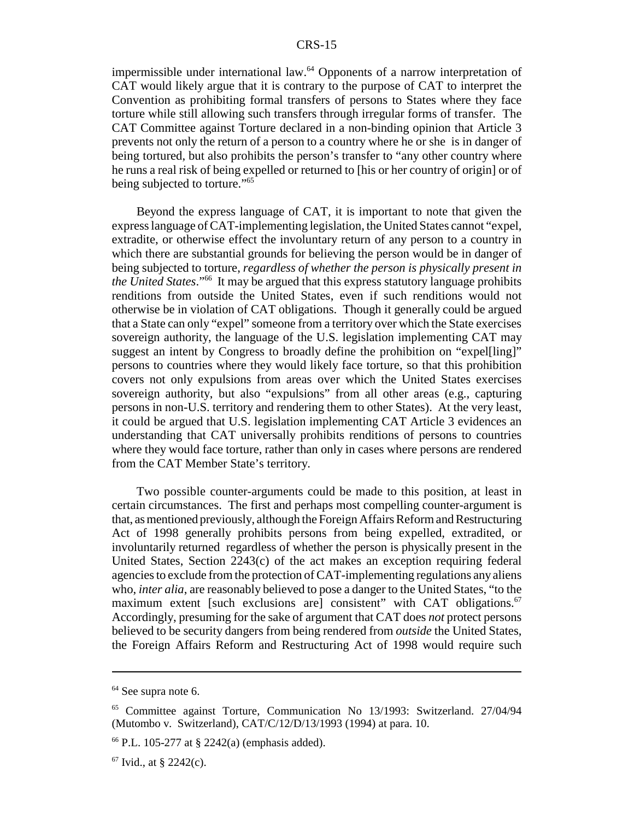impermissible under international law. $64$  Opponents of a narrow interpretation of CAT would likely argue that it is contrary to the purpose of CAT to interpret the Convention as prohibiting formal transfers of persons to States where they face torture while still allowing such transfers through irregular forms of transfer. The CAT Committee against Torture declared in a non-binding opinion that Article 3 prevents not only the return of a person to a country where he or she is in danger of being tortured, but also prohibits the person's transfer to "any other country where he runs a real risk of being expelled or returned to [his or her country of origin] or of being subjected to torture."<sup>65</sup>

Beyond the express language of CAT, it is important to note that given the express language of CAT-implementing legislation, the United States cannot "expel, extradite, or otherwise effect the involuntary return of any person to a country in which there are substantial grounds for believing the person would be in danger of being subjected to torture, *regardless of whether the person is physically present in the United States*."66 It may be argued that this express statutory language prohibits renditions from outside the United States, even if such renditions would not otherwise be in violation of CAT obligations. Though it generally could be argued that a State can only "expel" someone from a territory over which the State exercises sovereign authority, the language of the U.S. legislation implementing CAT may suggest an intent by Congress to broadly define the prohibition on "expel[ling]" persons to countries where they would likely face torture, so that this prohibition covers not only expulsions from areas over which the United States exercises sovereign authority, but also "expulsions" from all other areas (e.g., capturing persons in non-U.S. territory and rendering them to other States). At the very least, it could be argued that U.S. legislation implementing CAT Article 3 evidences an understanding that CAT universally prohibits renditions of persons to countries where they would face torture, rather than only in cases where persons are rendered from the CAT Member State's territory.

Two possible counter-arguments could be made to this position, at least in certain circumstances. The first and perhaps most compelling counter-argument is that, as mentioned previously, although the Foreign Affairs Reform and Restructuring Act of 1998 generally prohibits persons from being expelled, extradited, or involuntarily returned regardless of whether the person is physically present in the United States, Section 2243(c) of the act makes an exception requiring federal agencies to exclude from the protection of CAT-implementing regulations any aliens who, *inter alia*, are reasonably believed to pose a danger to the United States, "to the maximum extent [such exclusions are] consistent" with CAT obligations.<sup>67</sup> Accordingly, presuming for the sake of argument that CAT does *not* protect persons believed to be security dangers from being rendered from *outside* the United States, the Foreign Affairs Reform and Restructuring Act of 1998 would require such

 $64$  See supra note 6.

<sup>65</sup> Committee against Torture, Communication No 13/1993: Switzerland. 27/04/94 (Mutombo v. Switzerland), CAT/C/12/D/13/1993 (1994) at para. 10.

 $66$  P.L. 105-277 at § 2242(a) (emphasis added).

 $67$  Ivid., at § 2242(c).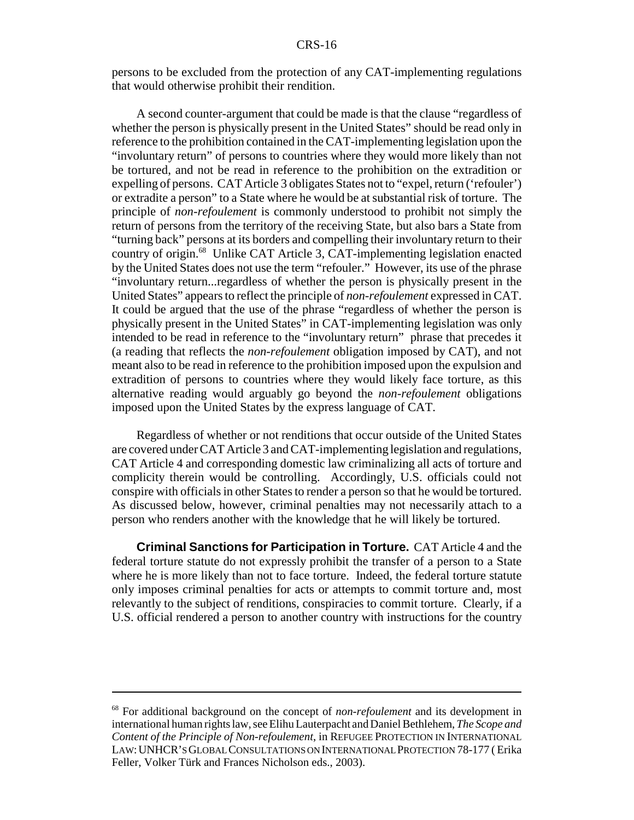persons to be excluded from the protection of any CAT-implementing regulations that would otherwise prohibit their rendition.

A second counter-argument that could be made is that the clause "regardless of whether the person is physically present in the United States" should be read only in reference to the prohibition contained in the CAT-implementing legislation upon the "involuntary return" of persons to countries where they would more likely than not be tortured, and not be read in reference to the prohibition on the extradition or expelling of persons. CAT Article 3 obligates States not to "expel, return ('refouler') or extradite a person" to a State where he would be at substantial risk of torture. The principle of *non-refoulement* is commonly understood to prohibit not simply the return of persons from the territory of the receiving State, but also bars a State from "turning back" persons at its borders and compelling their involuntary return to their country of origin.68 Unlike CAT Article 3, CAT-implementing legislation enacted by the United States does not use the term "refouler." However, its use of the phrase "involuntary return...regardless of whether the person is physically present in the United States" appears to reflect the principle of *non-refoulement* expressed in CAT. It could be argued that the use of the phrase "regardless of whether the person is physically present in the United States" in CAT-implementing legislation was only intended to be read in reference to the "involuntary return" phrase that precedes it (a reading that reflects the *non-refoulement* obligation imposed by CAT), and not meant also to be read in reference to the prohibition imposed upon the expulsion and extradition of persons to countries where they would likely face torture, as this alternative reading would arguably go beyond the *non-refoulement* obligations imposed upon the United States by the express language of CAT.

Regardless of whether or not renditions that occur outside of the United States are covered under CAT Article 3 and CAT-implementing legislation and regulations, CAT Article 4 and corresponding domestic law criminalizing all acts of torture and complicity therein would be controlling. Accordingly, U.S. officials could not conspire with officials in other States to render a person so that he would be tortured. As discussed below, however, criminal penalties may not necessarily attach to a person who renders another with the knowledge that he will likely be tortured.

**Criminal Sanctions for Participation in Torture.** CAT Article 4 and the federal torture statute do not expressly prohibit the transfer of a person to a State where he is more likely than not to face torture. Indeed, the federal torture statute only imposes criminal penalties for acts or attempts to commit torture and, most relevantly to the subject of renditions, conspiracies to commit torture. Clearly, if a U.S. official rendered a person to another country with instructions for the country

<sup>68</sup> For additional background on the concept of *non-refoulement* and its development in international human rights law, see Elihu Lauterpacht and Daniel Bethlehem, *The Scope and Content of the Principle of Non-refoulement*, in REFUGEE PROTECTION IN INTERNATIONAL LAW:UNHCR'S GLOBAL CONSULTATIONS ON INTERNATIONAL PROTECTION 78-177 ( Erika Feller, Volker Türk and Frances Nicholson eds., 2003).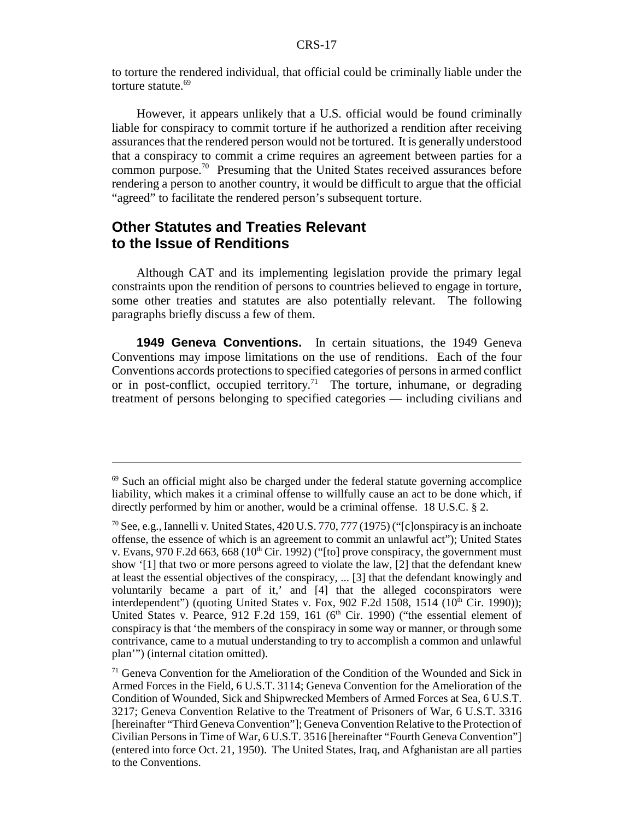to torture the rendered individual, that official could be criminally liable under the torture statute.<sup>69</sup>

However, it appears unlikely that a U.S. official would be found criminally liable for conspiracy to commit torture if he authorized a rendition after receiving assurances that the rendered person would not be tortured. It is generally understood that a conspiracy to commit a crime requires an agreement between parties for a common purpose.70 Presuming that the United States received assurances before rendering a person to another country, it would be difficult to argue that the official "agreed" to facilitate the rendered person's subsequent torture.

## **Other Statutes and Treaties Relevant to the Issue of Renditions**

Although CAT and its implementing legislation provide the primary legal constraints upon the rendition of persons to countries believed to engage in torture, some other treaties and statutes are also potentially relevant. The following paragraphs briefly discuss a few of them.

**1949 Geneva Conventions.** In certain situations, the 1949 Geneva Conventions may impose limitations on the use of renditions. Each of the four Conventions accords protections to specified categories of persons in armed conflict or in post-conflict, occupied territory.<sup>71</sup> The torture, inhumane, or degrading treatment of persons belonging to specified categories — including civilians and

 $69$  Such an official might also be charged under the federal statute governing accomplice liability, which makes it a criminal offense to willfully cause an act to be done which, if directly performed by him or another, would be a criminal offense. 18 U.S.C. § 2.

<sup>&</sup>lt;sup>70</sup> See, e.g., Iannelli v. United States, 420 U.S. 770, 777 (1975) ("[c]onspiracy is an inchoate offense, the essence of which is an agreement to commit an unlawful act"); United States v. Evans, 970 F.2d 663, 668 ( $10<sup>th</sup>$  Cir. 1992) ("[to] prove conspiracy, the government must show '[1] that two or more persons agreed to violate the law, [2] that the defendant knew at least the essential objectives of the conspiracy, ... [3] that the defendant knowingly and voluntarily became a part of it,' and [4] that the alleged coconspirators were interdependent") (quoting United States v. Fox, 902 F.2d 1508, 1514  $(10<sup>th</sup> Cir. 1990)$ ); United States v. Pearce, 912 F.2d 159, 161 ( $6<sup>th</sup>$  Cir. 1990) ("the essential element of conspiracy is that 'the members of the conspiracy in some way or manner, or through some contrivance, came to a mutual understanding to try to accomplish a common and unlawful plan'") (internal citation omitted).

<sup>&</sup>lt;sup>71</sup> Geneva Convention for the Amelioration of the Condition of the Wounded and Sick in Armed Forces in the Field, 6 U.S.T. 3114; Geneva Convention for the Amelioration of the Condition of Wounded, Sick and Shipwrecked Members of Armed Forces at Sea, 6 U.S.T. 3217; Geneva Convention Relative to the Treatment of Prisoners of War, 6 U.S.T. 3316 [hereinafter "Third Geneva Convention"]; Geneva Convention Relative to the Protection of Civilian Persons in Time of War, 6 U.S.T. 3516 [hereinafter "Fourth Geneva Convention"] (entered into force Oct. 21, 1950). The United States, Iraq, and Afghanistan are all parties to the Conventions.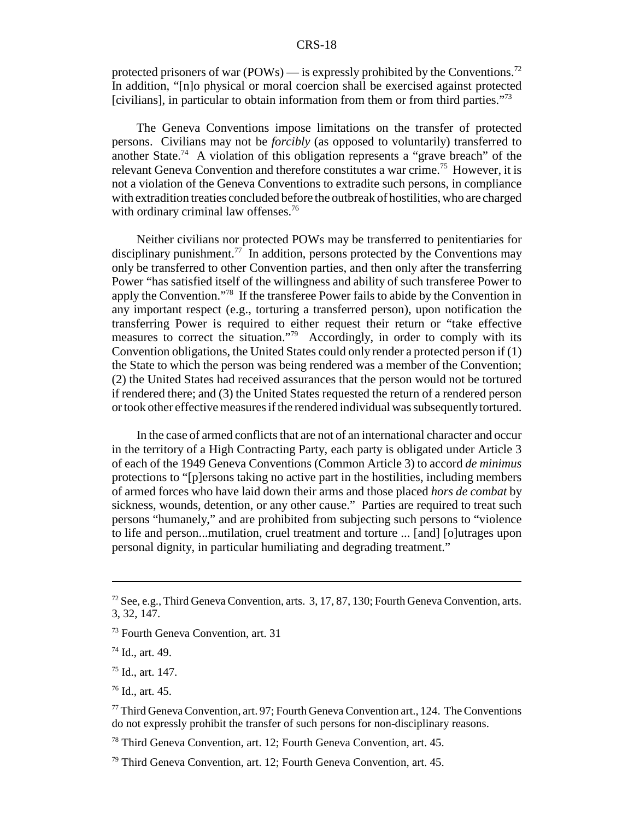protected prisoners of war (POWs) — is expressly prohibited by the Conventions.<sup>72</sup> In addition, "[n]o physical or moral coercion shall be exercised against protected [civilians], in particular to obtain information from them or from third parties."73

The Geneva Conventions impose limitations on the transfer of protected persons. Civilians may not be *forcibly* (as opposed to voluntarily) transferred to another State.<sup>74</sup> A violation of this obligation represents a "grave breach" of the relevant Geneva Convention and therefore constitutes a war crime.<sup>75</sup> However, it is not a violation of the Geneva Conventions to extradite such persons, in compliance with extradition treaties concluded before the outbreak of hostilities, who are charged with ordinary criminal law offenses.<sup>76</sup>

Neither civilians nor protected POWs may be transferred to penitentiaries for disciplinary punishment.<sup>77</sup> In addition, persons protected by the Conventions may only be transferred to other Convention parties, and then only after the transferring Power "has satisfied itself of the willingness and ability of such transferee Power to apply the Convention."78 If the transferee Power fails to abide by the Convention in any important respect (e.g., torturing a transferred person), upon notification the transferring Power is required to either request their return or "take effective measures to correct the situation."79 Accordingly, in order to comply with its Convention obligations, the United States could only render a protected person if (1) the State to which the person was being rendered was a member of the Convention; (2) the United States had received assurances that the person would not be tortured if rendered there; and (3) the United States requested the return of a rendered person or took other effective measures if the rendered individual was subsequently tortured.

In the case of armed conflicts that are not of an international character and occur in the territory of a High Contracting Party, each party is obligated under Article 3 of each of the 1949 Geneva Conventions (Common Article 3) to accord *de minimus* protections to "[p]ersons taking no active part in the hostilities, including members of armed forces who have laid down their arms and those placed *hors de combat* by sickness, wounds, detention, or any other cause." Parties are required to treat such persons "humanely," and are prohibited from subjecting such persons to "violence to life and person...mutilation, cruel treatment and torture ... [and] [o]utrages upon personal dignity, in particular humiliating and degrading treatment."

77 Third Geneva Convention, art. 97; Fourth Geneva Convention art., 124. The Conventions do not expressly prohibit the transfer of such persons for non-disciplinary reasons.

<sup>72</sup> See, e.g., Third Geneva Convention, arts. 3, 17, 87, 130; Fourth Geneva Convention, arts. 3, 32, 147.

<sup>&</sup>lt;sup>73</sup> Fourth Geneva Convention, art. 31

<sup>74</sup> Id., art. 49.

 $75$  Id., art. 147.

 $76$  Id., art. 45.

<sup>78</sup> Third Geneva Convention, art. 12; Fourth Geneva Convention, art. 45.

 $79$  Third Geneva Convention, art. 12; Fourth Geneva Convention, art. 45.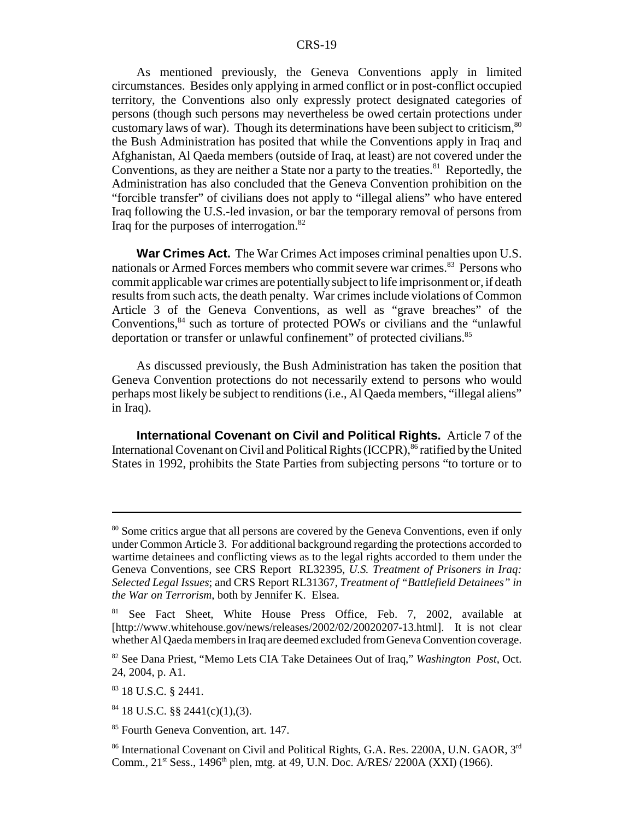As mentioned previously, the Geneva Conventions apply in limited circumstances. Besides only applying in armed conflict or in post-conflict occupied territory, the Conventions also only expressly protect designated categories of persons (though such persons may nevertheless be owed certain protections under customary laws of war). Though its determinations have been subject to criticism, $80$ the Bush Administration has posited that while the Conventions apply in Iraq and Afghanistan, Al Qaeda members (outside of Iraq, at least) are not covered under the Conventions, as they are neither a State nor a party to the treaties.<sup>81</sup> Reportedly, the Administration has also concluded that the Geneva Convention prohibition on the "forcible transfer" of civilians does not apply to "illegal aliens" who have entered Iraq following the U.S.-led invasion, or bar the temporary removal of persons from Iraq for the purposes of interrogation.<sup>82</sup>

**War Crimes Act.** The War Crimes Act imposes criminal penalties upon U.S. nationals or Armed Forces members who commit severe war crimes.<sup>83</sup> Persons who commit applicable war crimes are potentially subject to life imprisonment or, if death results from such acts, the death penalty. War crimes include violations of Common Article 3 of the Geneva Conventions, as well as "grave breaches" of the Conventions,<sup>84</sup> such as torture of protected POWs or civilians and the "unlawful" deportation or transfer or unlawful confinement" of protected civilians.<sup>85</sup>

As discussed previously, the Bush Administration has taken the position that Geneva Convention protections do not necessarily extend to persons who would perhaps most likely be subject to renditions (i.e., Al Qaeda members, "illegal aliens" in Iraq).

**International Covenant on Civil and Political Rights.** Article 7 of the International Covenant on Civil and Political Rights (ICCPR),<sup>86</sup> ratified by the United States in 1992, prohibits the State Parties from subjecting persons "to torture or to

83 18 U.S.C. § 2441.

<sup>&</sup>lt;sup>80</sup> Some critics argue that all persons are covered by the Geneva Conventions, even if only under Common Article 3. For additional background regarding the protections accorded to wartime detainees and conflicting views as to the legal rights accorded to them under the Geneva Conventions, see CRS Report RL32395, *U.S. Treatment of Prisoners in Iraq: Selected Legal Issues*; and CRS Report RL31367, *Treatment of "Battlefield Detainees" in the War on Terrorism*, both by Jennifer K. Elsea.

<sup>&</sup>lt;sup>81</sup> See Fact Sheet, White House Press Office, Feb. 7, 2002, available at [http://www.whitehouse.gov/news/releases/2002/02/20020207-13.html]. It is not clear whether Al Qaeda members in Iraq are deemed excluded from Geneva Convention coverage.

<sup>82</sup> See Dana Priest, "Memo Lets CIA Take Detainees Out of Iraq," *Washington Post*, Oct. 24, 2004, p. A1.

 $84$  18 U.S.C. §§ 2441(c)(1),(3).

<sup>85</sup> Fourth Geneva Convention, art. 147.

<sup>&</sup>lt;sup>86</sup> International Covenant on Civil and Political Rights, G.A. Res. 2200A, U.N. GAOR, 3<sup>rd</sup> Comm., 21<sup>st</sup> Sess., 1496<sup>th</sup> plen, mtg. at 49, U.N. Doc. A/RES/ 2200A (XXI) (1966).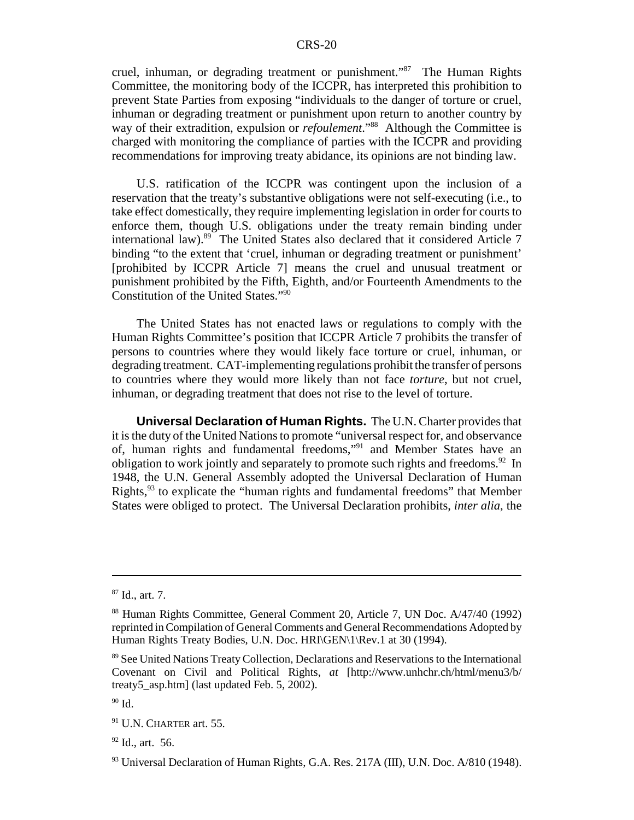cruel, inhuman, or degrading treatment or punishment."87 The Human Rights Committee, the monitoring body of the ICCPR, has interpreted this prohibition to prevent State Parties from exposing "individuals to the danger of torture or cruel, inhuman or degrading treatment or punishment upon return to another country by way of their extradition, expulsion or *refoulement*."<sup>88</sup> Although the Committee is charged with monitoring the compliance of parties with the ICCPR and providing recommendations for improving treaty abidance, its opinions are not binding law.

U.S. ratification of the ICCPR was contingent upon the inclusion of a reservation that the treaty's substantive obligations were not self-executing (i.e., to take effect domestically, they require implementing legislation in order for courts to enforce them, though U.S. obligations under the treaty remain binding under international law).<sup>89</sup> The United States also declared that it considered Article 7 binding "to the extent that 'cruel, inhuman or degrading treatment or punishment' [prohibited by ICCPR Article 7] means the cruel and unusual treatment or punishment prohibited by the Fifth, Eighth, and/or Fourteenth Amendments to the Constitution of the United States."90

The United States has not enacted laws or regulations to comply with the Human Rights Committee's position that ICCPR Article 7 prohibits the transfer of persons to countries where they would likely face torture or cruel, inhuman, or degrading treatment. CAT-implementing regulations prohibit the transfer of persons to countries where they would more likely than not face *torture*, but not cruel, inhuman, or degrading treatment that does not rise to the level of torture.

**Universal Declaration of Human Rights.** The U.N. Charter provides that it is the duty of the United Nations to promote "universal respect for, and observance of, human rights and fundamental freedoms,"91 and Member States have an obligation to work jointly and separately to promote such rights and freedoms.<sup>92</sup> In 1948, the U.N. General Assembly adopted the Universal Declaration of Human Rights,93 to explicate the "human rights and fundamental freedoms" that Member States were obliged to protect. The Universal Declaration prohibits, *inter alia*, the

<sup>87</sup> Id., art. 7.

<sup>88</sup> Human Rights Committee, General Comment 20, Article 7, UN Doc. A/47/40 (1992) reprinted in Compilation of General Comments and General Recommendations Adopted by Human Rights Treaty Bodies, U.N. Doc. HRI\GEN\1\Rev.1 at 30 (1994).

<sup>&</sup>lt;sup>89</sup> See United Nations Treaty Collection, Declarations and Reservations to the International Covenant on Civil and Political Rights, *at* [http://www.unhchr.ch/html/menu3/b/ treaty5\_asp.htm] (last updated Feb. 5, 2002).

<sup>90</sup> Id.

<sup>91</sup> U.N. CHARTER art. 55.

 $92$  Id., art. 56.

<sup>&</sup>lt;sup>93</sup> Universal Declaration of Human Rights, G.A. Res. 217A (III), U.N. Doc. A/810 (1948).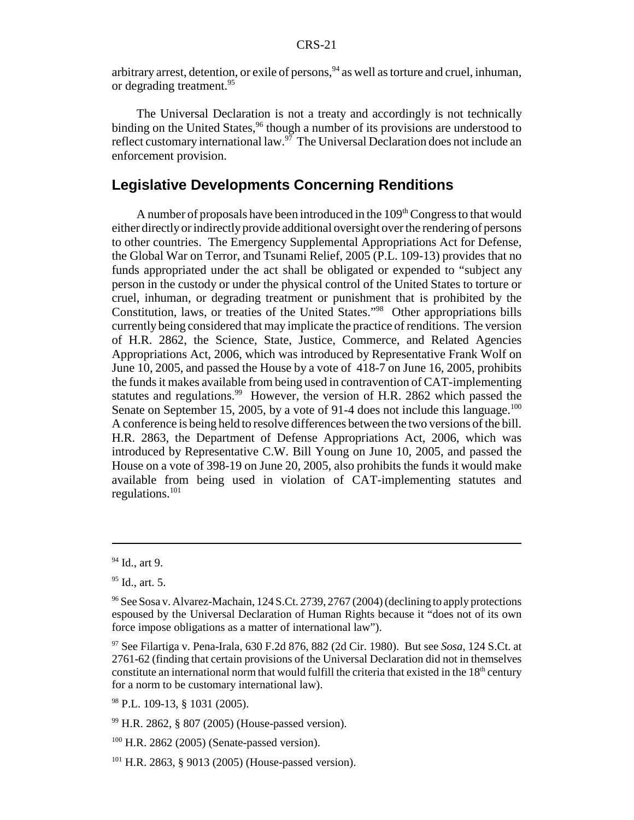arbitrary arrest, detention, or exile of persons,  $94$  as well as torture and cruel, inhuman, or degrading treatment.<sup>95</sup>

The Universal Declaration is not a treaty and accordingly is not technically binding on the United States,<sup>96</sup> though a number of its provisions are understood to reflect customary international law.<sup>97</sup> The Universal Declaration does not include an enforcement provision.

# **Legislative Developments Concerning Renditions**

A number of proposals have been introduced in the  $109<sup>th</sup> Congress$  to that would either directly or indirectly provide additional oversight over the rendering of persons to other countries. The Emergency Supplemental Appropriations Act for Defense, the Global War on Terror, and Tsunami Relief, 2005 (P.L. 109-13) provides that no funds appropriated under the act shall be obligated or expended to "subject any person in the custody or under the physical control of the United States to torture or cruel, inhuman, or degrading treatment or punishment that is prohibited by the Constitution, laws, or treaties of the United States."98 Other appropriations bills currently being considered that may implicate the practice of renditions. The version of H.R. 2862, the Science, State, Justice, Commerce, and Related Agencies Appropriations Act, 2006, which was introduced by Representative Frank Wolf on June 10, 2005, and passed the House by a vote of 418-7 on June 16, 2005, prohibits the funds it makes available from being used in contravention of CAT-implementing statutes and regulations.<sup>99</sup> However, the version of H.R. 2862 which passed the Senate on September 15, 2005, by a vote of 91-4 does not include this language.<sup>100</sup> A conference is being held to resolve differences between the two versions of the bill. H.R. 2863, the Department of Defense Appropriations Act, 2006, which was introduced by Representative C.W. Bill Young on June 10, 2005, and passed the House on a vote of 398-19 on June 20, 2005, also prohibits the funds it would make available from being used in violation of CAT-implementing statutes and regulations.101

 $94$  Id., art 9.

 $95$  Id., art. 5.

<sup>&</sup>lt;sup>96</sup> See Sosa v. Alvarez-Machain, 124 S.Ct. 2739, 2767 (2004) (declining to apply protections espoused by the Universal Declaration of Human Rights because it "does not of its own force impose obligations as a matter of international law").

<sup>97</sup> See Filartiga v. Pena-Irala, 630 F.2d 876, 882 (2d Cir. 1980). But see *Sosa*, 124 S.Ct. at 2761-62 (finding that certain provisions of the Universal Declaration did not in themselves constitute an international norm that would fulfill the criteria that existed in the  $18<sup>th</sup>$  century for a norm to be customary international law).

<sup>98</sup> P.L. 109-13, § 1031 (2005).

<sup>99</sup> H.R. 2862, § 807 (2005) (House-passed version).

 $100$  H.R. 2862 (2005) (Senate-passed version).

 $101$  H.R. 2863, § 9013 (2005) (House-passed version).